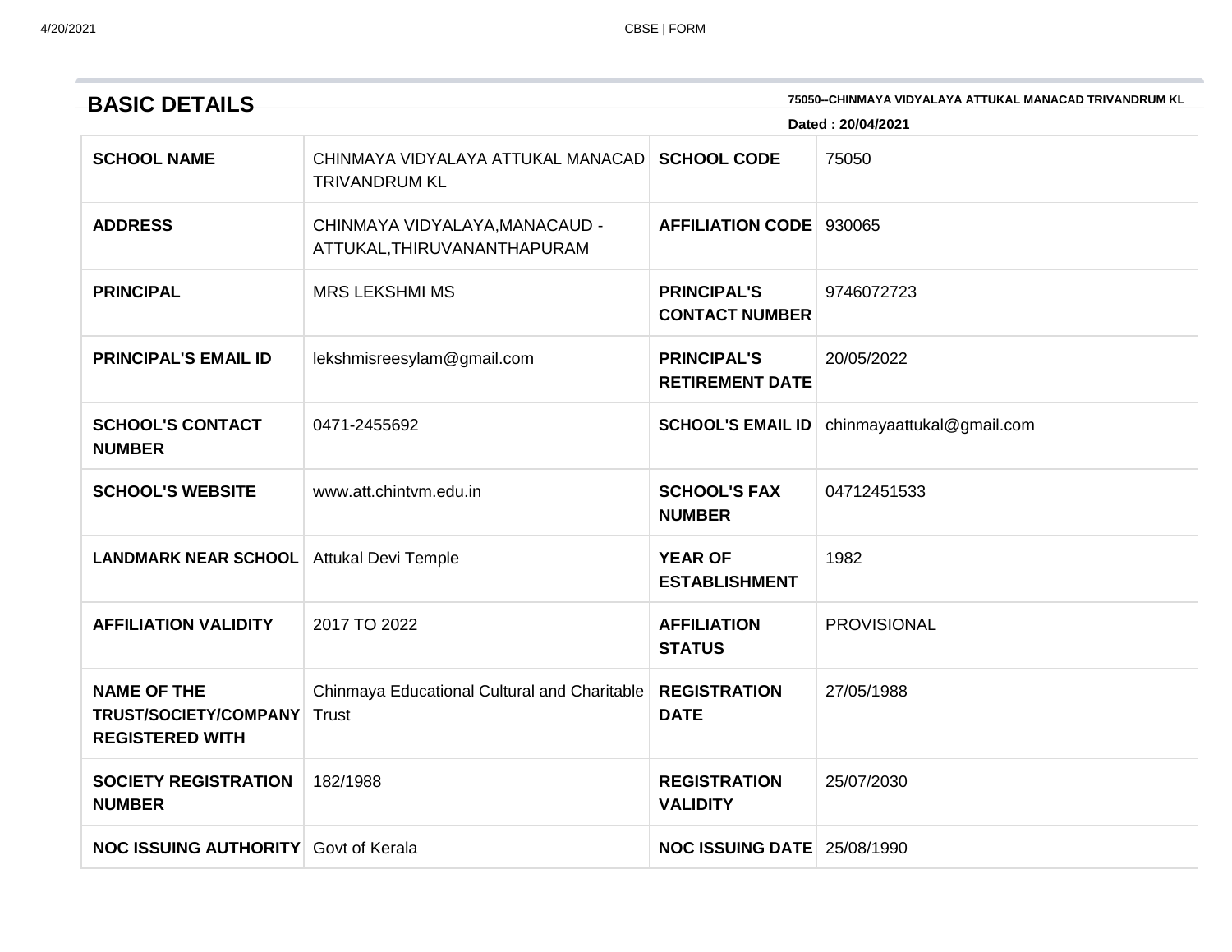| <b>BASIC DETAILS</b> | 75050--CHINMAYA VIDYALAYA ATTUKAL MANACAD TRIVANDRUM KL |
|----------------------|---------------------------------------------------------|
|                      | Dated: 20/04/2021                                       |

| <b>SCHOOL NAME</b>                                                    | CHINMAYA VIDYALAYA ATTUKAL MANACAD<br><b>TRIVANDRUM KL</b>    | <b>SCHOOL CODE</b>                           | 75050                     |
|-----------------------------------------------------------------------|---------------------------------------------------------------|----------------------------------------------|---------------------------|
| <b>ADDRESS</b>                                                        | CHINMAYA VIDYALAYA, MANACAUD -<br>ATTUKAL, THIRUVANANTHAPURAM | AFFILIATION CODE 930065                      |                           |
| <b>PRINCIPAL</b>                                                      | <b>MRS LEKSHMI MS</b>                                         | <b>PRINCIPAL'S</b><br><b>CONTACT NUMBER</b>  | 9746072723                |
| <b>PRINCIPAL'S EMAIL ID</b>                                           | lekshmisreesylam@gmail.com                                    | <b>PRINCIPAL'S</b><br><b>RETIREMENT DATE</b> | 20/05/2022                |
| <b>SCHOOL'S CONTACT</b><br><b>NUMBER</b>                              | 0471-2455692                                                  | <b>SCHOOL'S EMAIL ID</b>                     | chinmayaattukal@gmail.com |
| <b>SCHOOL'S WEBSITE</b>                                               | www.att.chintvm.edu.in                                        | <b>SCHOOL'S FAX</b><br><b>NUMBER</b>         | 04712451533               |
| <b>LANDMARK NEAR SCHOOL</b>                                           | <b>Attukal Devi Temple</b>                                    | <b>YEAR OF</b><br><b>ESTABLISHMENT</b>       | 1982                      |
| <b>AFFILIATION VALIDITY</b>                                           | 2017 TO 2022                                                  | <b>AFFILIATION</b><br><b>STATUS</b>          | <b>PROVISIONAL</b>        |
| <b>NAME OF THE</b><br>TRUST/SOCIETY/COMPANY<br><b>REGISTERED WITH</b> | Chinmaya Educational Cultural and Charitable<br>Trust         | <b>REGISTRATION</b><br><b>DATE</b>           | 27/05/1988                |
| <b>SOCIETY REGISTRATION</b><br><b>NUMBER</b>                          | 182/1988                                                      | <b>REGISTRATION</b><br><b>VALIDITY</b>       | 25/07/2030                |
| <b>NOC ISSUING AUTHORITY</b> Govt of Kerala                           |                                                               | NOC ISSUING DATE 25/08/1990                  |                           |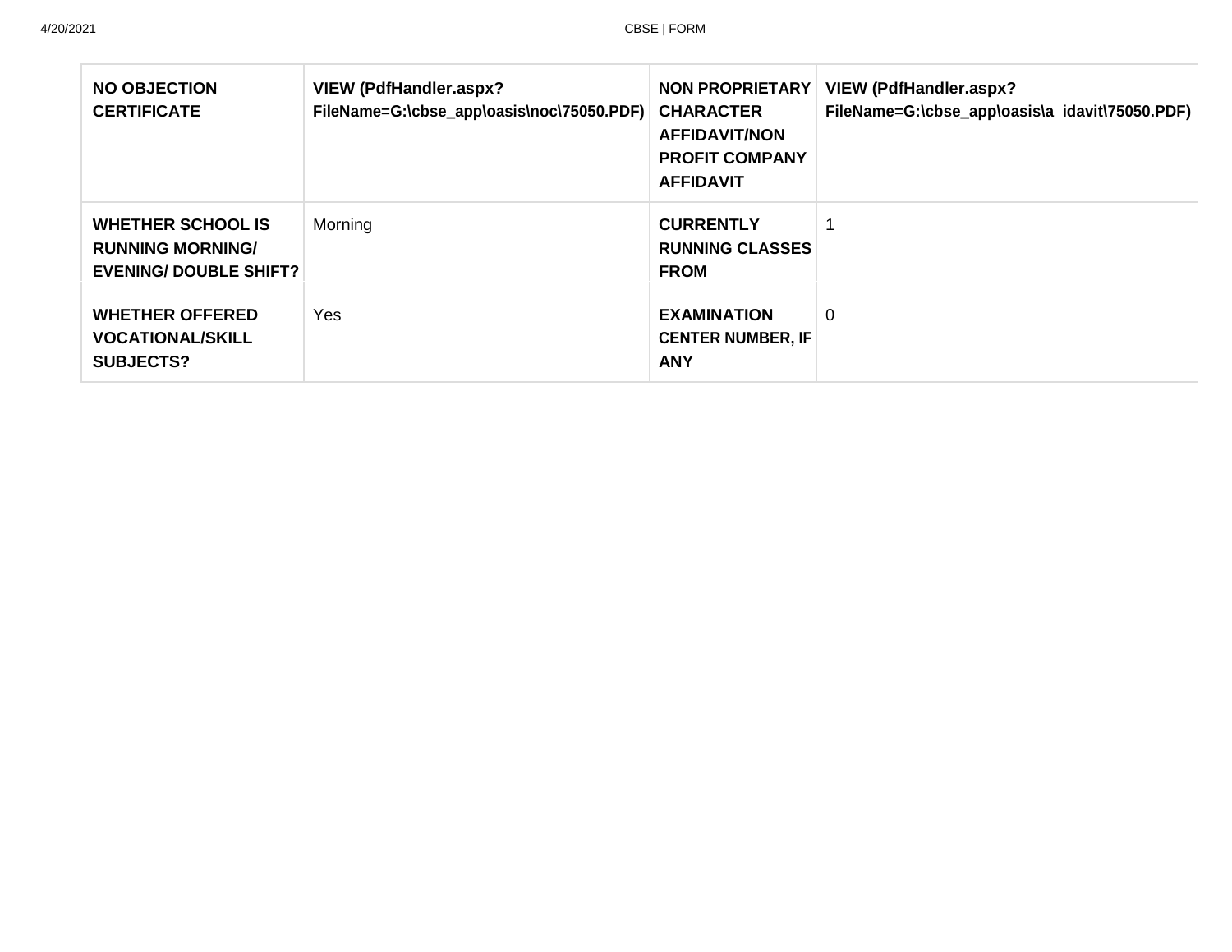T.

| <b>NO OBJECTION</b><br><b>CERTIFICATE</b>                                     | <b>VIEW (PdfHandler.aspx?</b><br>FileName=G:\cbse_app\oasis\noc\75050.PDF) | <b>NON PROPRIETARY</b><br><b>CHARACTER</b><br><b>AFFIDAVIT/NON</b><br><b>PROFIT COMPANY</b><br><b>AFFIDAVIT</b> | <b>VIEW (PdfHandler.aspx?</b><br>FileName=G:\cbse_app\oasis\a_idavit\75050.PDF) |
|-------------------------------------------------------------------------------|----------------------------------------------------------------------------|-----------------------------------------------------------------------------------------------------------------|---------------------------------------------------------------------------------|
| WHETHER SCHOOL IS<br><b>RUNNING MORNING/</b><br><b>EVENING/ DOUBLE SHIFT?</b> | Morning                                                                    | <b>CURRENTLY</b><br><b>RUNNING CLASSES</b><br><b>FROM</b>                                                       |                                                                                 |
| <b>WHETHER OFFERED</b><br><b>VOCATIONAL/SKILL</b><br><b>SUBJECTS?</b>         | Yes                                                                        | <b>EXAMINATION</b><br><b>CENTER NUMBER, IF</b><br>ANY                                                           | 0                                                                               |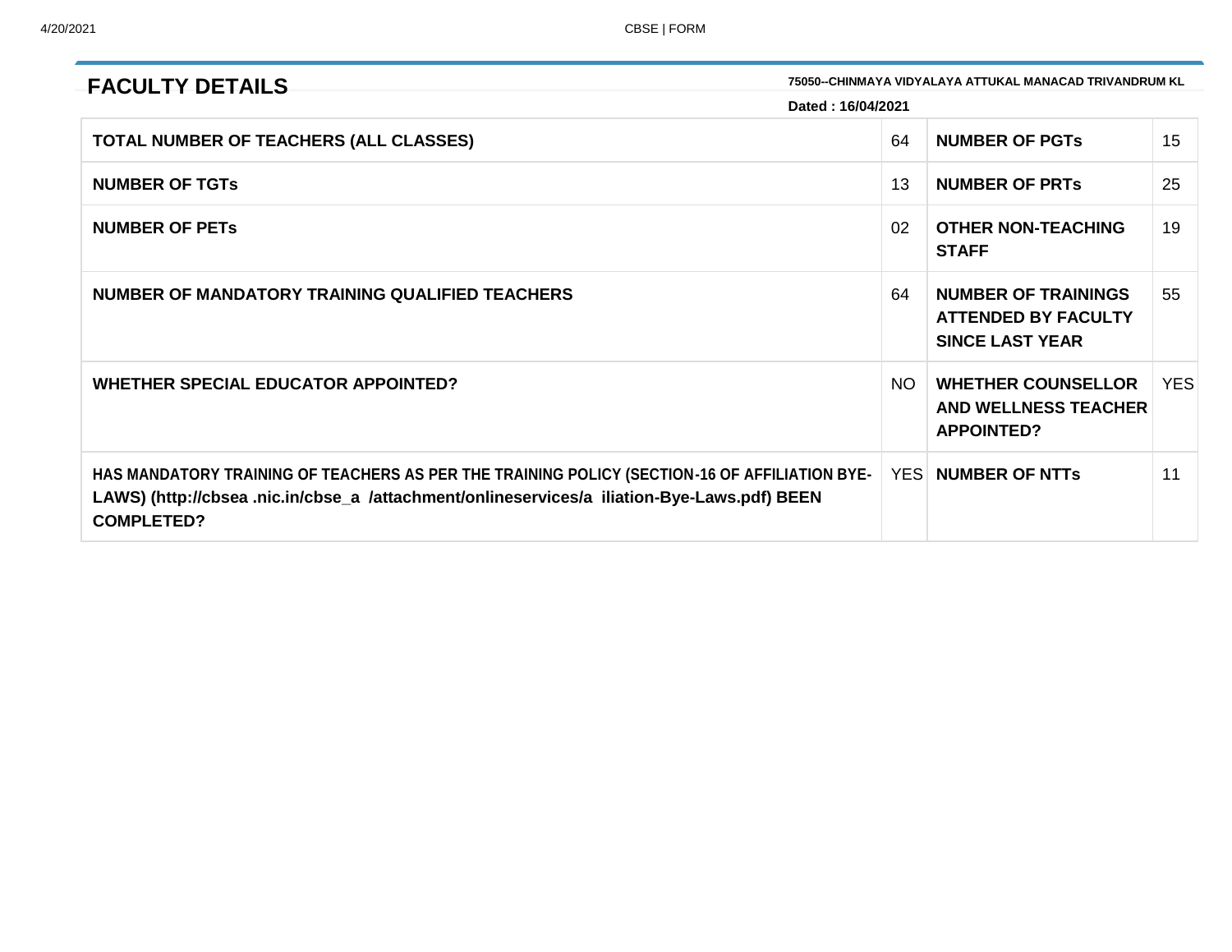| 75050--CHINMAYA VIDYALAYA ATTUKAL MANACAD TRIVANDRUM KL<br><b>FACULTY DETAILS</b>                                                                                                                                |     |                                                                                    |            |
|------------------------------------------------------------------------------------------------------------------------------------------------------------------------------------------------------------------|-----|------------------------------------------------------------------------------------|------------|
| Dated: 16/04/2021                                                                                                                                                                                                |     |                                                                                    |            |
| TOTAL NUMBER OF TEACHERS (ALL CLASSES)                                                                                                                                                                           | 64  | <b>NUMBER OF PGTs</b>                                                              | 15         |
| <b>NUMBER OF TGTS</b>                                                                                                                                                                                            | 13  | <b>NUMBER OF PRTS</b>                                                              | 25         |
| <b>NUMBER OF PETS</b>                                                                                                                                                                                            | 02  | <b>OTHER NON-TEACHING</b><br><b>STAFF</b>                                          | 19         |
| NUMBER OF MANDATORY TRAINING QUALIFIED TEACHERS                                                                                                                                                                  | 64  | <b>NUMBER OF TRAININGS</b><br><b>ATTENDED BY FACULTY</b><br><b>SINCE LAST YEAR</b> | 55         |
| <b>WHETHER SPECIAL EDUCATOR APPOINTED?</b>                                                                                                                                                                       | NO. | <b>WHETHER COUNSELLOR</b><br><b>AND WELLNESS TEACHER</b><br><b>APPOINTED?</b>      | <b>YES</b> |
| HAS MANDATORY TRAINING OF TEACHERS AS PER THE TRAINING POLICY (SECTION-16 OF AFFILIATION BYE-<br>LAWS) (http://cbsea.nic.in/cbse_a /attachment/onlineservices/a iliation-Bye-Laws.pdf) BEEN<br><b>COMPLETED?</b> |     | <b>YES NUMBER OF NTTS</b>                                                          | 11         |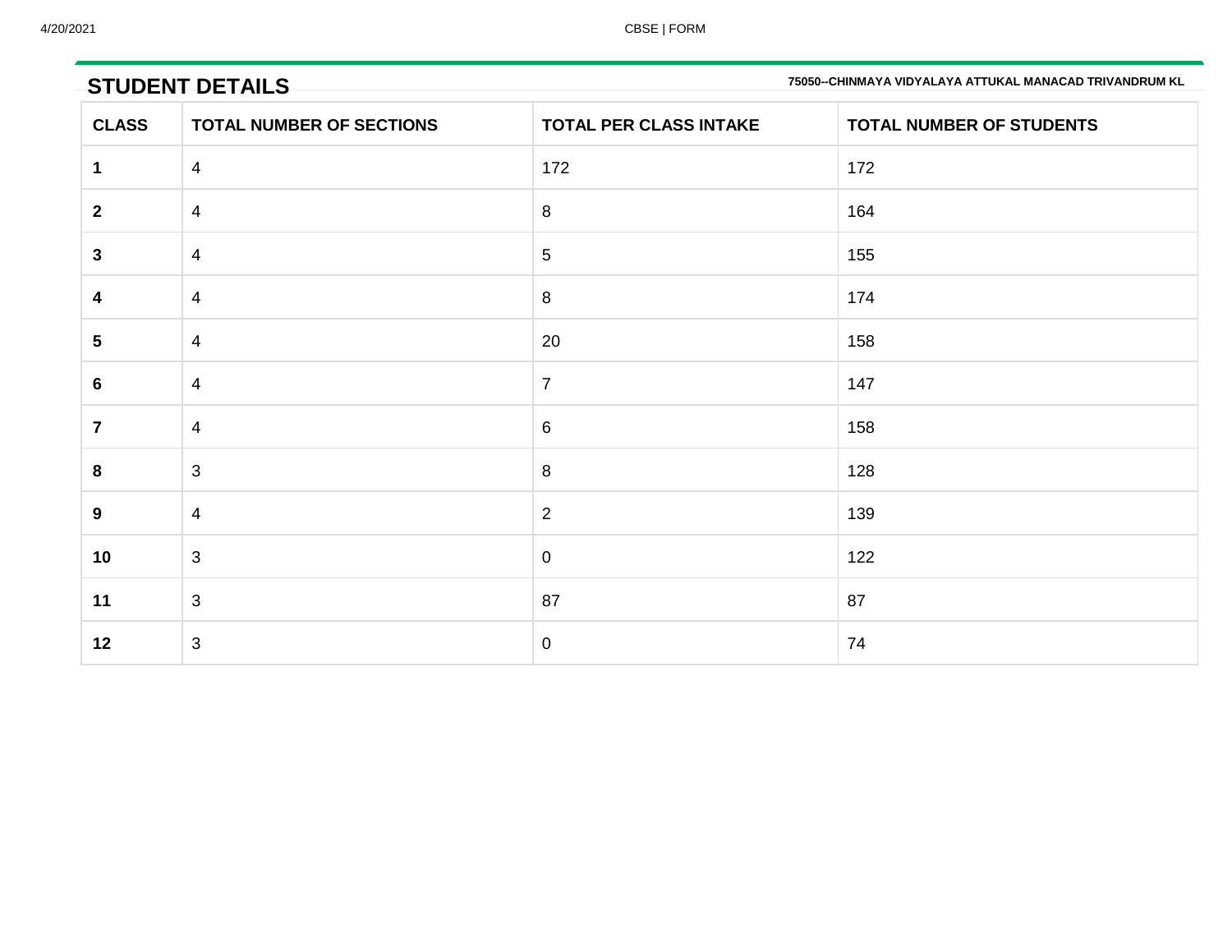**STUDENT DETAILS 75050--CHINMAYA VIDYALAYA ATTUKAL MANACAD TRIVANDRUM KL**

| .               |                                 |                               |                          |
|-----------------|---------------------------------|-------------------------------|--------------------------|
| <b>CLASS</b>    | <b>TOTAL NUMBER OF SECTIONS</b> | <b>TOTAL PER CLASS INTAKE</b> | TOTAL NUMBER OF STUDENTS |
| $\mathbf 1$     | $\overline{4}$                  | 172                           | 172                      |
| $\mathbf{2}$    | $\overline{4}$                  | 8                             | 164                      |
| $\mathbf{3}$    | $\overline{4}$                  | $5\phantom{.0}$               | 155                      |
| 4               | $\overline{4}$                  | 8                             | 174                      |
| 5               | $\overline{4}$                  | 20                            | 158                      |
| $6\phantom{1}6$ | $\overline{4}$                  | $\overline{7}$                | 147                      |
| $\overline{7}$  | $\overline{4}$                  | 6                             | 158                      |
| 8               | $\mathbf{3}$                    | 8                             | 128                      |
| 9               | $\overline{4}$                  | $\overline{2}$                | 139                      |
| 10              | $\mathbf{3}$                    | $\overline{0}$                | 122                      |
| 11              | 3                               | 87                            | 87                       |
| 12              | $\mathbf{3}$                    | $\mathbf 0$                   | 74                       |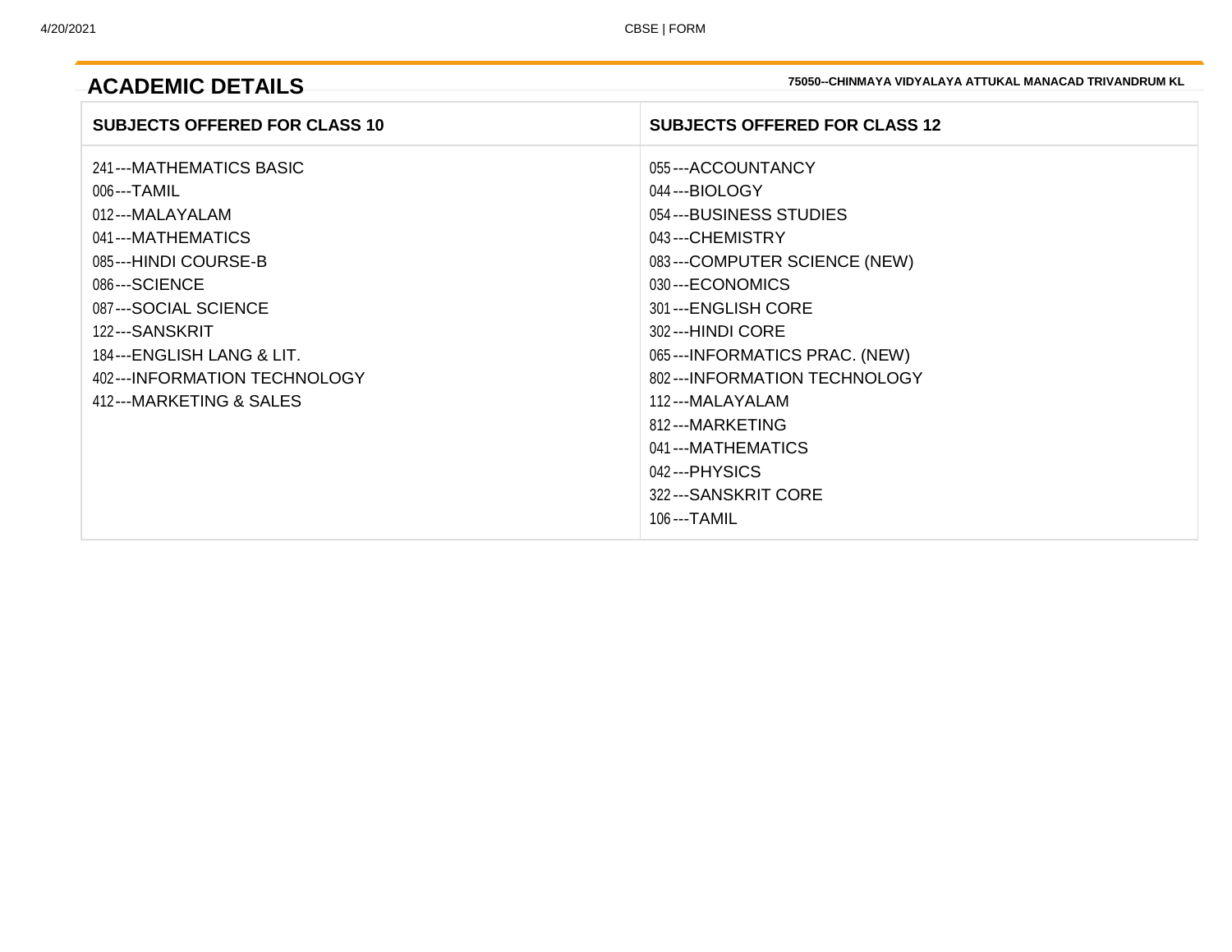**ACADEMIC DETAILS 75050--CHINMAYA VIDYALAYA ATTUKAL MANACAD TRIVANDRUM KL**

| 241---MATHEMATICS BASIC<br>055---ACCOUNTANCY<br>006---TAMIL<br>044---BIOLOGY<br>012---MALAYALAM<br>054---BUSINESS STUDIES<br>041---MATHEMATICS<br>043---CHEMISTRY<br>085---HINDI COURSE-B<br>083---COMPUTER SCIENCE (NEW)<br>030---ECONOMICS<br>086---SCIENCE<br>087---SOCIAL SCIENCE<br>301---ENGLISH CORE<br>122---SANSKRIT<br>302---HINDI CORE<br>065---INFORMATICS PRAC. (NEW)<br>184---ENGLISH LANG & LIT.<br>402--- INFORMATION TECHNOLOGY<br>802---INFORMATION TECHNOLOGY<br>412---MARKETING & SALES<br>112---MALAYALAM<br>812---MARKETING<br>041---MATHEMATICS<br>042---PHYSICS<br>322---SANSKRIT CORE<br>106---TAMIL |  |
|-------------------------------------------------------------------------------------------------------------------------------------------------------------------------------------------------------------------------------------------------------------------------------------------------------------------------------------------------------------------------------------------------------------------------------------------------------------------------------------------------------------------------------------------------------------------------------------------------------------------------------|--|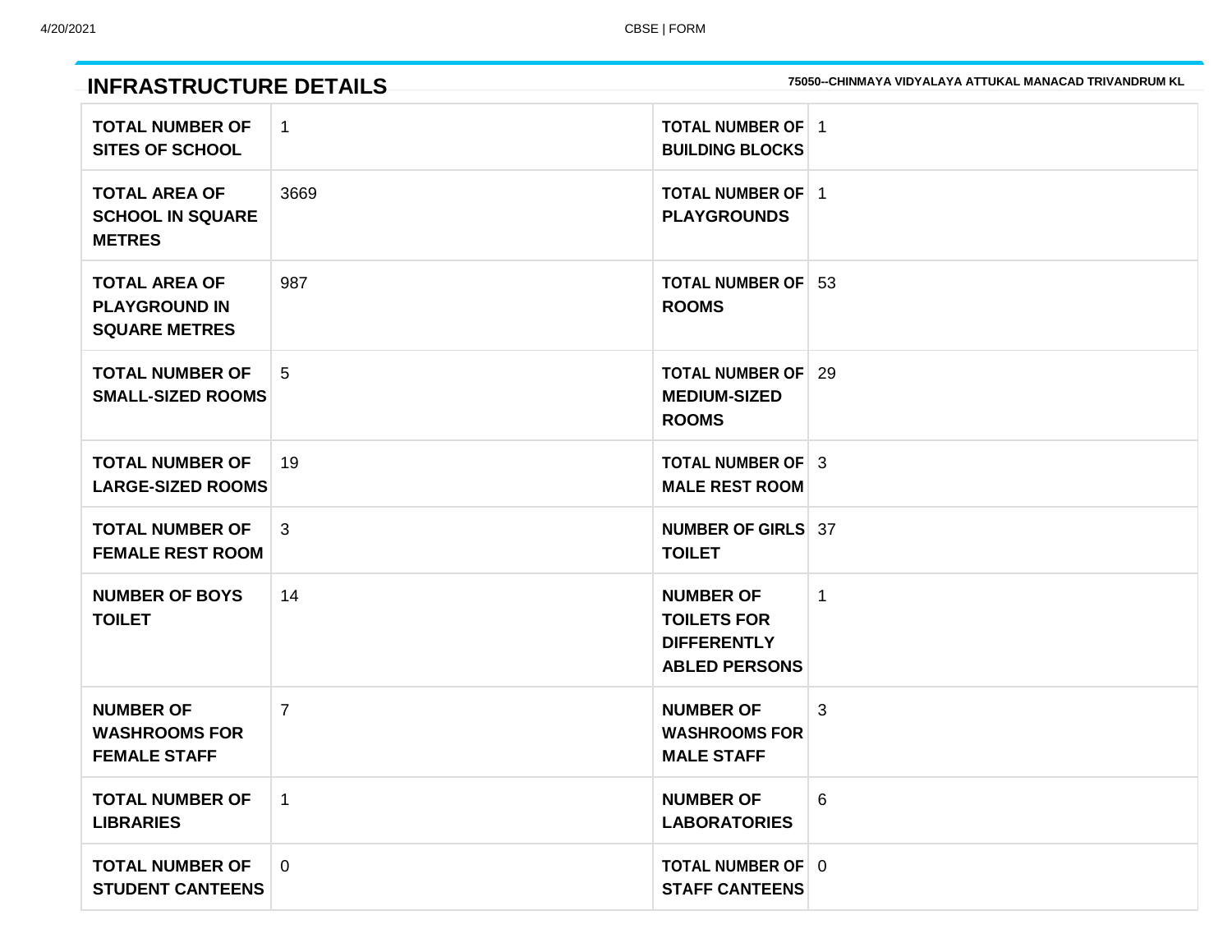| <b>INFRASTRUCTURE DETAILS</b>                                        |                |                                                                                      | 75050--CHINMAYA VIDYALAYA ATTUKAL MANACAD TRIVANDRUM KL |
|----------------------------------------------------------------------|----------------|--------------------------------------------------------------------------------------|---------------------------------------------------------|
| <b>TOTAL NUMBER OF</b><br><b>SITES OF SCHOOL</b>                     | 1              | <b>TOTAL NUMBER OF 1</b><br><b>BUILDING BLOCKS</b>                                   |                                                         |
| <b>TOTAL AREA OF</b><br><b>SCHOOL IN SQUARE</b><br><b>METRES</b>     | 3669           | <b>TOTAL NUMBER OF 1</b><br><b>PLAYGROUNDS</b>                                       |                                                         |
| <b>TOTAL AREA OF</b><br><b>PLAYGROUND IN</b><br><b>SQUARE METRES</b> | 987            | <b>TOTAL NUMBER OF   53</b><br><b>ROOMS</b>                                          |                                                         |
| <b>TOTAL NUMBER OF</b><br><b>SMALL-SIZED ROOMS</b>                   | 5              | <b>TOTAL NUMBER OF 29</b><br><b>MEDIUM-SIZED</b><br><b>ROOMS</b>                     |                                                         |
| <b>TOTAL NUMBER OF</b><br><b>LARGE-SIZED ROOMS</b>                   | 19             | <b>TOTAL NUMBER OF 3</b><br><b>MALE REST ROOM</b>                                    |                                                         |
| <b>TOTAL NUMBER OF</b><br><b>FEMALE REST ROOM</b>                    | 3              | <b>NUMBER OF GIRLS</b> 37<br><b>TOILET</b>                                           |                                                         |
| <b>NUMBER OF BOYS</b><br><b>TOILET</b>                               | 14             | <b>NUMBER OF</b><br><b>TOILETS FOR</b><br><b>DIFFERENTLY</b><br><b>ABLED PERSONS</b> | 1                                                       |
| <b>NUMBER OF</b><br><b>WASHROOMS FOR</b><br><b>FEMALE STAFF</b>      | $\overline{7}$ | <b>NUMBER OF</b><br><b>WASHROOMS FOR</b><br><b>MALE STAFF</b>                        | 3                                                       |
| <b>TOTAL NUMBER OF</b><br><b>LIBRARIES</b>                           | $\mathbf{1}$   | <b>NUMBER OF</b><br><b>LABORATORIES</b>                                              | 6                                                       |
| <b>TOTAL NUMBER OF</b><br><b>STUDENT CANTEENS</b>                    | $\mathbf 0$    | <b>TOTAL NUMBER OF 0</b><br><b>STAFF CANTEENS</b>                                    |                                                         |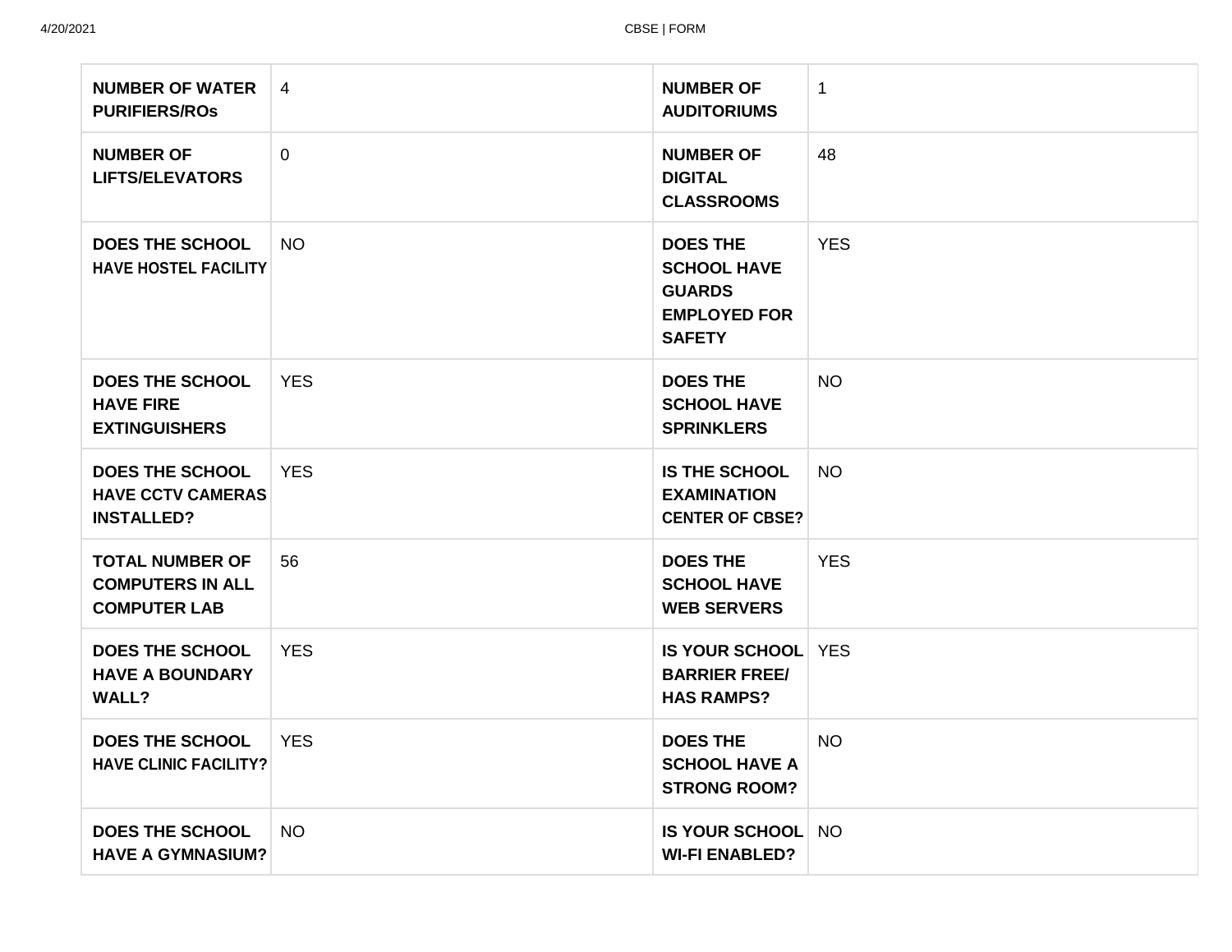| <b>NUMBER OF WATER</b><br><b>PURIFIERS/ROS</b>                           | 4           | <b>NUMBER OF</b><br><b>AUDITORIUMS</b>                                                         | $\mathbf 1$ |
|--------------------------------------------------------------------------|-------------|------------------------------------------------------------------------------------------------|-------------|
| <b>NUMBER OF</b><br><b>LIFTS/ELEVATORS</b>                               | $\mathbf 0$ | <b>NUMBER OF</b><br><b>DIGITAL</b><br><b>CLASSROOMS</b>                                        | 48          |
| <b>DOES THE SCHOOL</b><br><b>HAVE HOSTEL FACILITY</b>                    | <b>NO</b>   | <b>DOES THE</b><br><b>SCHOOL HAVE</b><br><b>GUARDS</b><br><b>EMPLOYED FOR</b><br><b>SAFETY</b> | <b>YES</b>  |
| <b>DOES THE SCHOOL</b><br><b>HAVE FIRE</b><br><b>EXTINGUISHERS</b>       | <b>YES</b>  | <b>DOES THE</b><br><b>SCHOOL HAVE</b><br><b>SPRINKLERS</b>                                     | <b>NO</b>   |
| <b>DOES THE SCHOOL</b><br><b>HAVE CCTV CAMERAS</b><br><b>INSTALLED?</b>  | <b>YES</b>  | <b>IS THE SCHOOL</b><br><b>EXAMINATION</b><br><b>CENTER OF CBSE?</b>                           | <b>NO</b>   |
| <b>TOTAL NUMBER OF</b><br><b>COMPUTERS IN ALL</b><br><b>COMPUTER LAB</b> | 56          | <b>DOES THE</b><br><b>SCHOOL HAVE</b><br><b>WEB SERVERS</b>                                    | <b>YES</b>  |
| <b>DOES THE SCHOOL</b><br><b>HAVE A BOUNDARY</b><br>WALL?                | <b>YES</b>  | <b>IS YOUR SCHOOL</b> YES<br><b>BARRIER FREE/</b><br><b>HAS RAMPS?</b>                         |             |
| <b>DOES THE SCHOOL</b><br><b>HAVE CLINIC FACILITY?</b>                   | <b>YES</b>  | <b>DOES THE</b><br><b>SCHOOL HAVE A</b><br><b>STRONG ROOM?</b>                                 | <b>NO</b>   |
| <b>DOES THE SCHOOL</b><br><b>HAVE A GYMNASIUM?</b>                       | <b>NO</b>   | <b>IS YOUR SCHOOL</b> NO<br><b>WI-FI ENABLED?</b>                                              |             |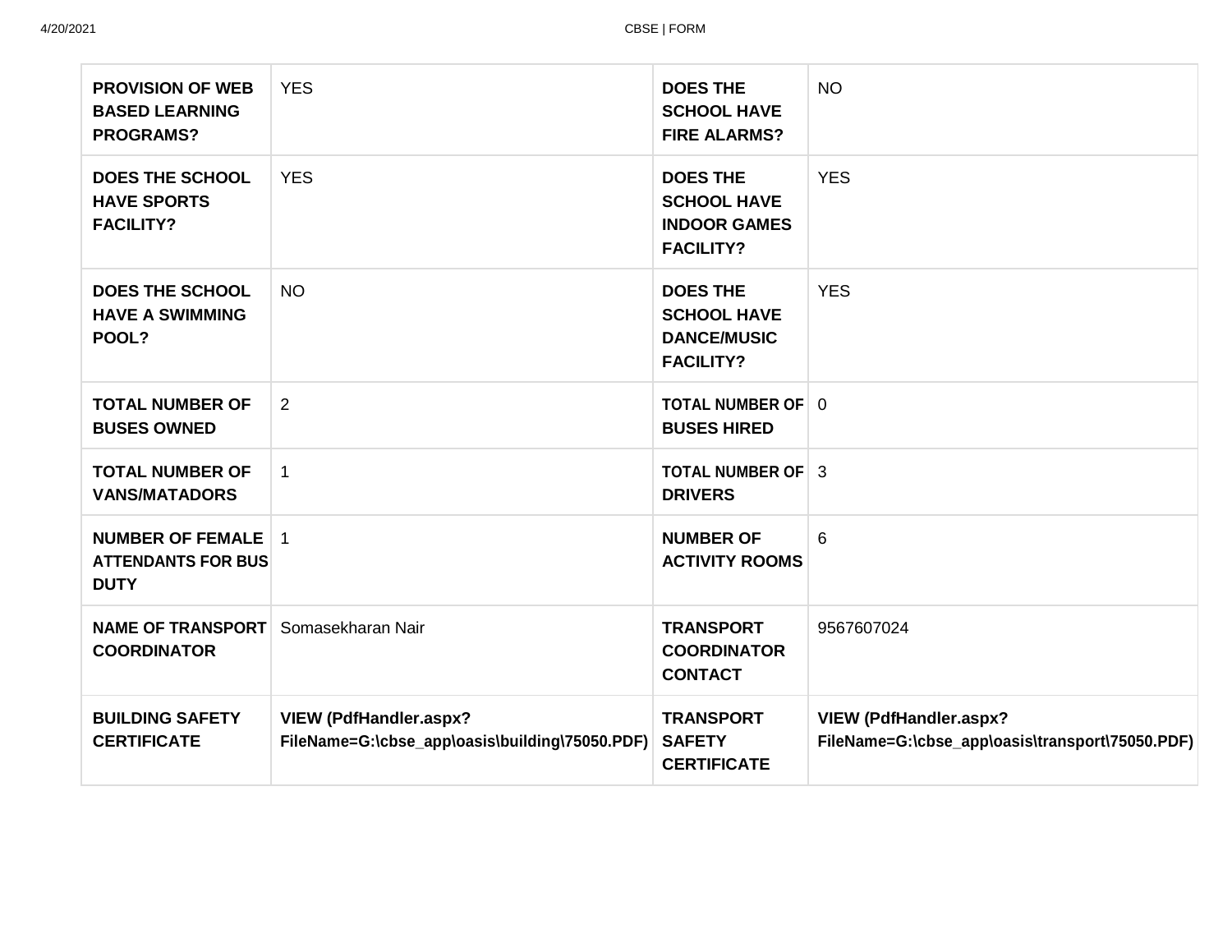| <b>PROVISION OF WEB</b><br><b>BASED LEARNING</b><br><b>PROGRAMS?</b>    | <b>YES</b>                                                                      | <b>DOES THE</b><br><b>SCHOOL HAVE</b><br><b>FIRE ALARMS?</b>                     | <b>NO</b>                                                                        |
|-------------------------------------------------------------------------|---------------------------------------------------------------------------------|----------------------------------------------------------------------------------|----------------------------------------------------------------------------------|
| <b>DOES THE SCHOOL</b><br><b>HAVE SPORTS</b><br><b>FACILITY?</b>        | <b>YES</b>                                                                      | <b>DOES THE</b><br><b>SCHOOL HAVE</b><br><b>INDOOR GAMES</b><br><b>FACILITY?</b> | <b>YES</b>                                                                       |
| <b>DOES THE SCHOOL</b><br><b>HAVE A SWIMMING</b><br>POOL?               | <b>NO</b>                                                                       | <b>DOES THE</b><br><b>SCHOOL HAVE</b><br><b>DANCE/MUSIC</b><br><b>FACILITY?</b>  | <b>YES</b>                                                                       |
| <b>TOTAL NUMBER OF</b><br><b>BUSES OWNED</b>                            | 2                                                                               | <b>TOTAL NUMBER OF 0</b><br><b>BUSES HIRED</b>                                   |                                                                                  |
| <b>TOTAL NUMBER OF</b><br><b>VANS/MATADORS</b>                          | $\overline{1}$                                                                  | <b>TOTAL NUMBER OF 3</b><br><b>DRIVERS</b>                                       |                                                                                  |
| <b>NUMBER OF FEMALE   1</b><br><b>ATTENDANTS FOR BUS</b><br><b>DUTY</b> |                                                                                 | <b>NUMBER OF</b><br><b>ACTIVITY ROOMS</b>                                        | 6                                                                                |
| <b>NAME OF TRANSPORT</b><br><b>COORDINATOR</b>                          | Somasekharan Nair                                                               | <b>TRANSPORT</b><br><b>COORDINATOR</b><br><b>CONTACT</b>                         | 9567607024                                                                       |
| <b>BUILDING SAFETY</b><br><b>CERTIFICATE</b>                            | <b>VIEW (PdfHandler.aspx?</b><br>FileName=G:\cbse_app\oasis\building\75050.PDF) | <b>TRANSPORT</b><br><b>SAFETY</b><br><b>CERTIFICATE</b>                          | <b>VIEW (PdfHandler.aspx?</b><br>FileName=G:\cbse_app\oasis\transport\75050.PDF) |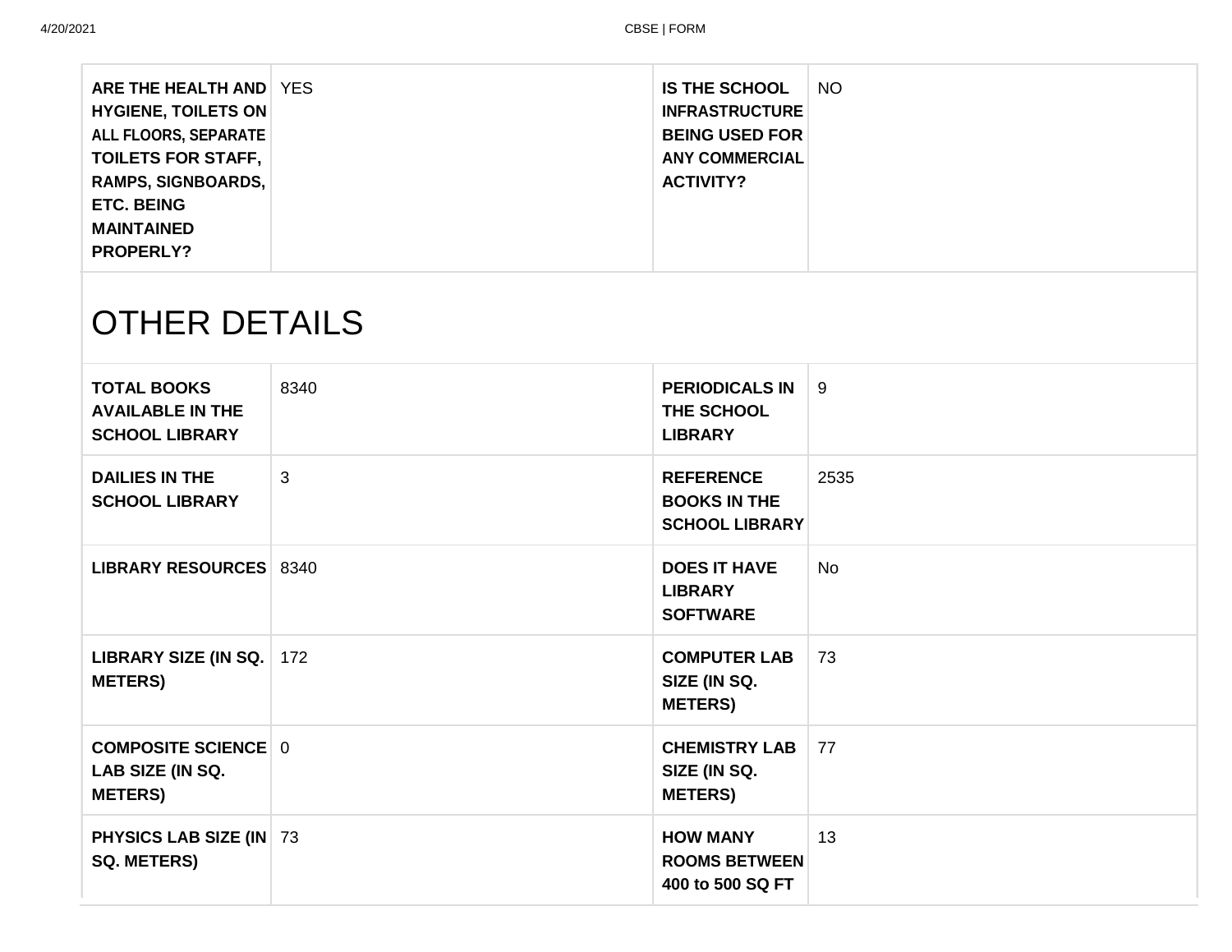| <b>ARE THE HEALTH AND   YES</b><br><b>HYGIENE, TOILETS ON</b><br>ALL FLOORS, SEPARATE<br><b>TOILETS FOR STAFF,</b><br>RAMPS, SIGNBOARDS,<br><b>ETC. BEING</b><br><b>MAINTAINED</b><br><b>PROPERLY?</b> |      | <b>IS THE SCHOOL</b><br><b>INFRASTRUCTURE</b><br><b>BEING USED FOR</b><br><b>ANY COMMERCIAL</b><br><b>ACTIVITY?</b> | <b>NO</b> |
|--------------------------------------------------------------------------------------------------------------------------------------------------------------------------------------------------------|------|---------------------------------------------------------------------------------------------------------------------|-----------|
| <b>OTHER DETAILS</b>                                                                                                                                                                                   |      |                                                                                                                     |           |
| <b>TOTAL BOOKS</b><br><b>AVAILABLE IN THE</b><br><b>SCHOOL LIBRARY</b>                                                                                                                                 | 8340 | <b>PERIODICALS IN</b><br>THE SCHOOL<br><b>LIBRARY</b>                                                               | 9         |
| <b>DAILIES IN THE</b><br><b>SCHOOL LIBRARY</b>                                                                                                                                                         | 3    | <b>REFERENCE</b><br><b>BOOKS IN THE</b><br><b>SCHOOL LIBRARY</b>                                                    | 2535      |
| <b>LIBRARY RESOURCES</b> 8340                                                                                                                                                                          |      | <b>DOES IT HAVE</b><br><b>LIBRARY</b><br><b>SOFTWARE</b>                                                            | No        |
| <b>LIBRARY SIZE (IN SQ.</b><br><b>METERS)</b>                                                                                                                                                          | 172  | <b>COMPUTER LAB</b><br>SIZE (IN SQ.<br><b>METERS)</b>                                                               | 73        |
| <b>COMPOSITE SCIENCE</b> 0<br>LAB SIZE (IN SQ.<br><b>METERS)</b>                                                                                                                                       |      | <b>CHEMISTRY LAB</b><br>SIZE (IN SQ.<br><b>METERS)</b>                                                              | 77        |
| <b>PHYSICS LAB SIZE (IN 73</b><br><b>SQ. METERS)</b>                                                                                                                                                   |      | <b>HOW MANY</b><br><b>ROOMS BETWEEN</b><br>400 to 500 SQ FT                                                         | 13        |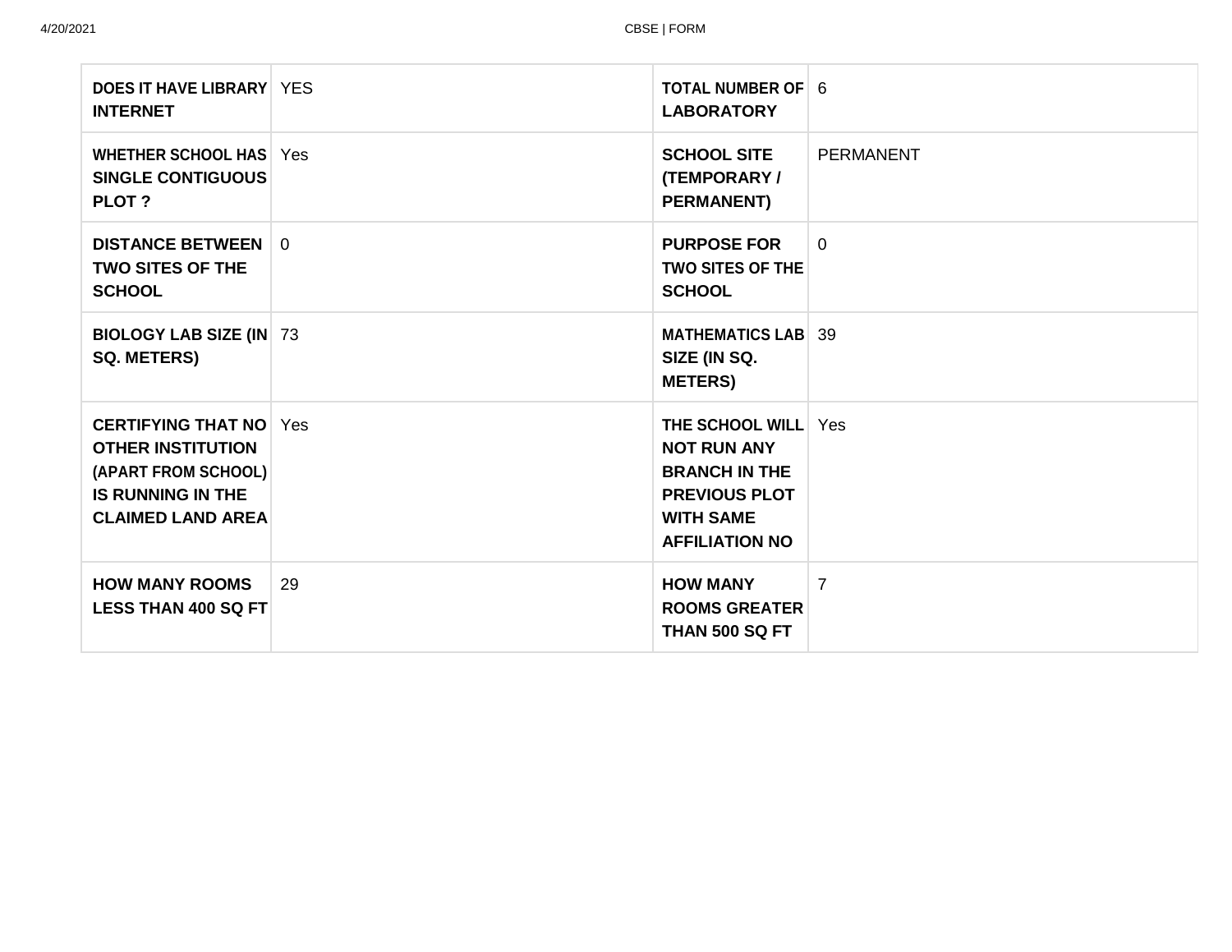| <b>DOES IT HAVE LIBRARY   YES</b><br><b>INTERNET</b>                                                                                     |    | <b>TOTAL NUMBER OF 6</b><br><b>LABORATORY</b>                                                                                                 |                  |
|------------------------------------------------------------------------------------------------------------------------------------------|----|-----------------------------------------------------------------------------------------------------------------------------------------------|------------------|
| <b>WHETHER SCHOOL HAS</b> Yes<br><b>SINGLE CONTIGUOUS</b><br>PLOT?                                                                       |    | <b>SCHOOL SITE</b><br>(TEMPORARY/<br><b>PERMANENT)</b>                                                                                        | <b>PERMANENT</b> |
| <b>DISTANCE BETWEEN   0</b><br><b>TWO SITES OF THE</b><br><b>SCHOOL</b>                                                                  |    | <b>PURPOSE FOR</b><br><b>TWO SITES OF THE</b><br><b>SCHOOL</b>                                                                                | $\overline{0}$   |
| <b>BIOLOGY LAB SIZE (IN 73</b><br><b>SQ. METERS)</b>                                                                                     |    | <b>MATHEMATICS LAB</b> 39<br>SIZE (IN SQ.<br><b>METERS)</b>                                                                                   |                  |
| <b>CERTIFYING THAT NO</b> Yes<br><b>OTHER INSTITUTION</b><br>(APART FROM SCHOOL)<br><b>IS RUNNING IN THE</b><br><b>CLAIMED LAND AREA</b> |    | <b>THE SCHOOL WILL</b> Yes<br><b>NOT RUN ANY</b><br><b>BRANCH IN THE</b><br><b>PREVIOUS PLOT</b><br><b>WITH SAME</b><br><b>AFFILIATION NO</b> |                  |
| <b>HOW MANY ROOMS</b><br><b>LESS THAN 400 SQ FT</b>                                                                                      | 29 | <b>HOW MANY</b><br><b>ROOMS GREATER</b><br>THAN 500 SQ FT                                                                                     | $\overline{7}$   |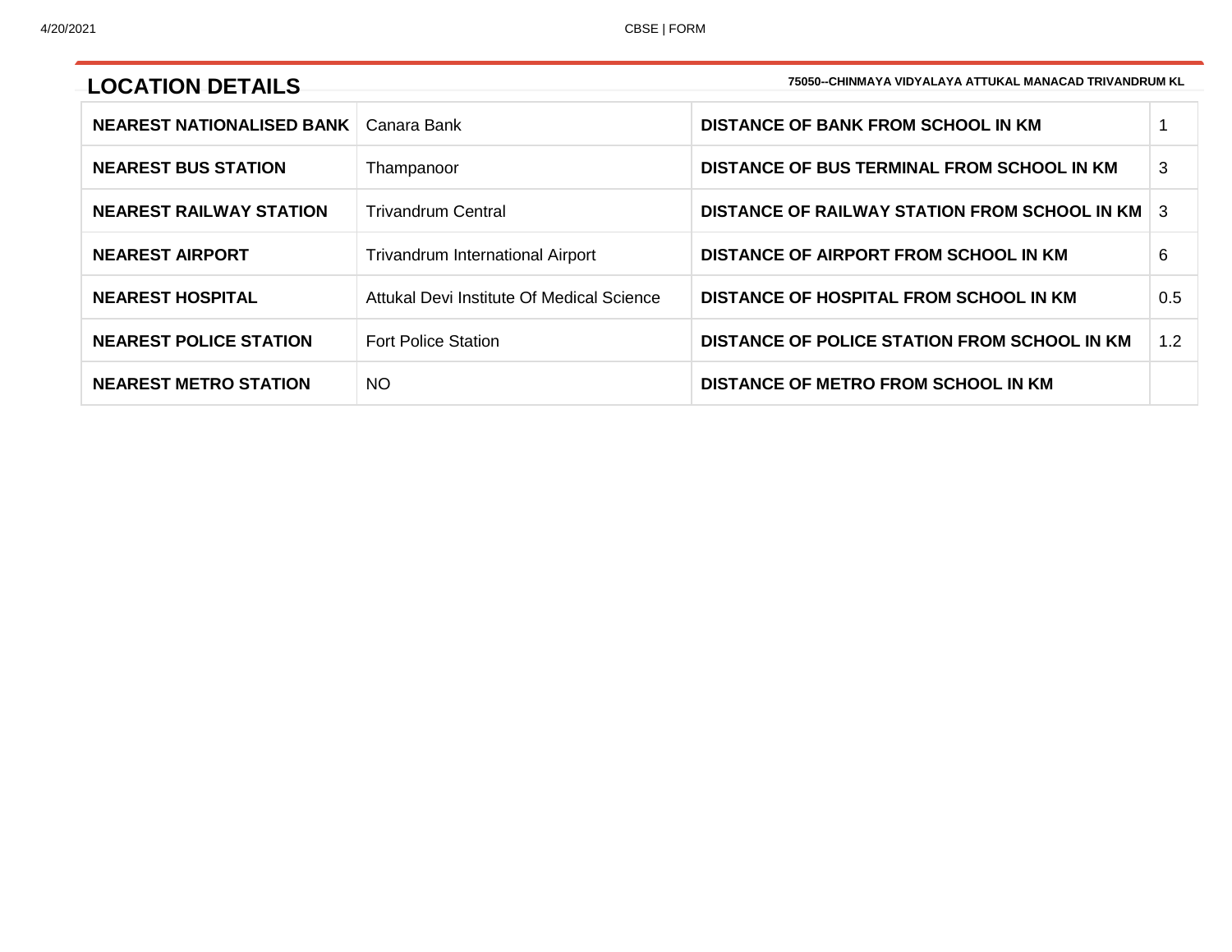| 75050--CHINMAYA VIDYALAYA ATTUKAL MANACAD TRIVANDRUM KL<br><b>LOCATION DETAILS</b> |                                           |                                                      |     |
|------------------------------------------------------------------------------------|-------------------------------------------|------------------------------------------------------|-----|
| <b>NEAREST NATIONALISED BANK</b>                                                   | Canara Bank                               | <b>DISTANCE OF BANK FROM SCHOOL IN KM</b>            |     |
| <b>NEAREST BUS STATION</b>                                                         | Thampanoor                                | DISTANCE OF BUS TERMINAL FROM SCHOOL IN KM           | 3   |
| <b>NEAREST RAILWAY STATION</b>                                                     | <b>Trivandrum Central</b>                 | <b>DISTANCE OF RAILWAY STATION FROM SCHOOL IN KM</b> | -3  |
| <b>NEAREST AIRPORT</b>                                                             | <b>Trivandrum International Airport</b>   | DISTANCE OF AIRPORT FROM SCHOOL IN KM                | 6   |
| <b>NEAREST HOSPITAL</b>                                                            | Attukal Devi Institute Of Medical Science | DISTANCE OF HOSPITAL FROM SCHOOL IN KM               | 0.5 |
| <b>NEAREST POLICE STATION</b>                                                      | <b>Fort Police Station</b>                | DISTANCE OF POLICE STATION FROM SCHOOL IN KM         | 1.2 |
| <b>NEAREST METRO STATION</b>                                                       | <b>NO</b>                                 | <b>DISTANCE OF METRO FROM SCHOOL IN KM</b>           |     |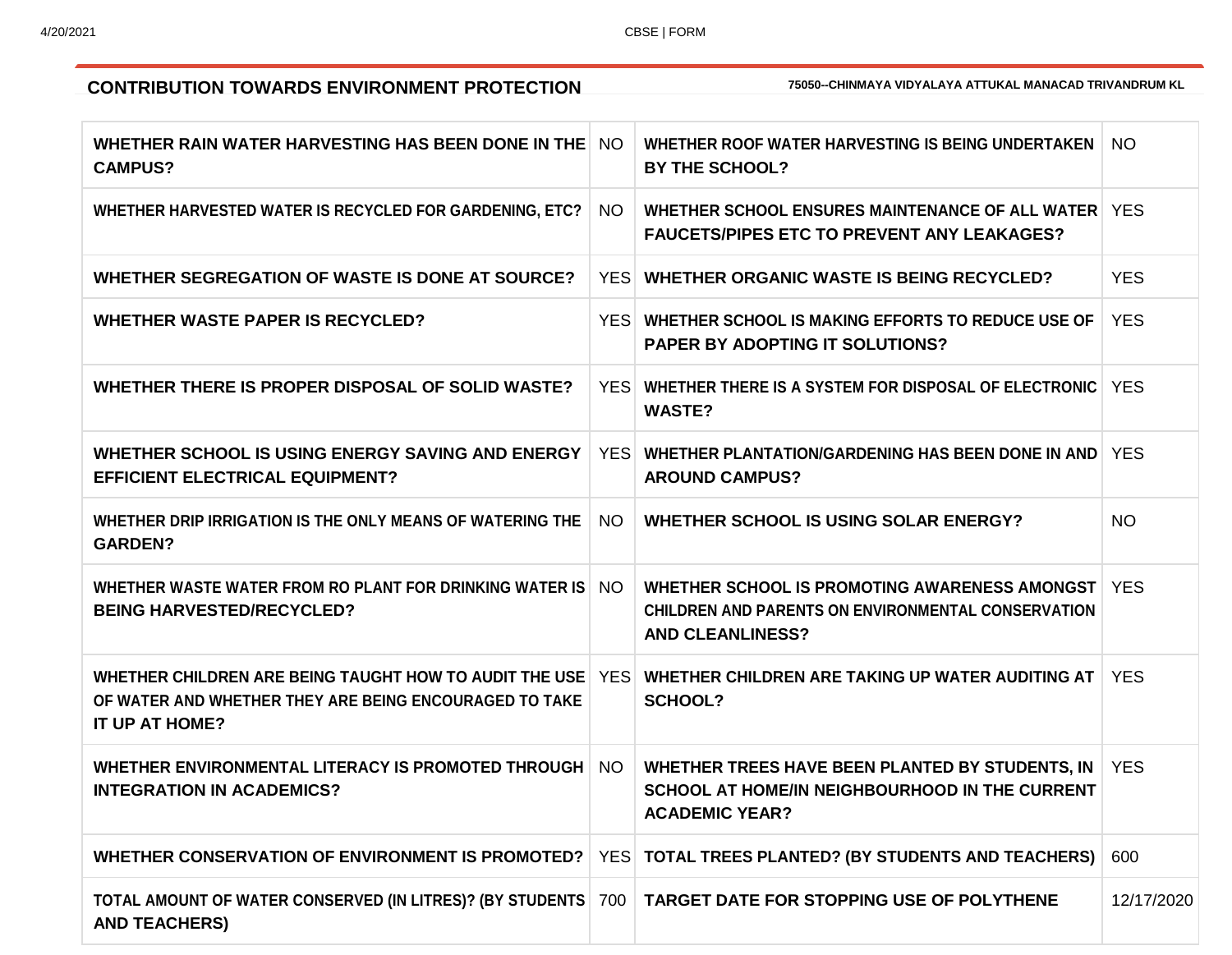## **CONTRIBUTION TOWARDS ENVIRONMENT PROTECTION** 75050-CHINMAYA VIDYALAYA ATTUKAL MANACAD TRIVANDRUM KL

| WHETHER RAIN WATER HARVESTING HAS BEEN DONE IN THE NO<br><b>CAMPUS?</b>                                                                                                                 |       | WHETHER ROOF WATER HARVESTING IS BEING UNDERTAKEN<br><b>BY THE SCHOOL?</b>                                                            | NO.        |
|-----------------------------------------------------------------------------------------------------------------------------------------------------------------------------------------|-------|---------------------------------------------------------------------------------------------------------------------------------------|------------|
| WHETHER HARVESTED WATER IS RECYCLED FOR GARDENING, ETC?                                                                                                                                 | NO.   | WHETHER SCHOOL ENSURES MAINTENANCE OF ALL WATER<br><b>FAUCETS/PIPES ETC TO PREVENT ANY LEAKAGES?</b>                                  | <b>YFS</b> |
| WHETHER SEGREGATION OF WASTE IS DONE AT SOURCE?                                                                                                                                         |       | <b>YES WHETHER ORGANIC WASTE IS BEING RECYCLED?</b>                                                                                   | <b>YES</b> |
| <b>WHETHER WASTE PAPER IS RECYCLED?</b>                                                                                                                                                 |       | <b>YES WHETHER SCHOOL IS MAKING EFFORTS TO REDUCE USE OF</b><br><b>PAPER BY ADOPTING IT SOLUTIONS?</b>                                | <b>YES</b> |
| WHETHER THERE IS PROPER DISPOSAL OF SOLID WASTE?                                                                                                                                        |       | YES   WHETHER THERE IS A SYSTEM FOR DISPOSAL OF ELECTRONIC<br><b>WASTE?</b>                                                           | <b>YES</b> |
| WHETHER SCHOOL IS USING ENERGY SAVING AND ENERGY<br><b>EFFICIENT ELECTRICAL EQUIPMENT?</b>                                                                                              | YES I | WHETHER PLANTATION/GARDENING HAS BEEN DONE IN AND<br><b>AROUND CAMPUS?</b>                                                            | <b>YES</b> |
| WHETHER DRIP IRRIGATION IS THE ONLY MEANS OF WATERING THE<br><b>GARDEN?</b>                                                                                                             | NO.   | WHETHER SCHOOL IS USING SOLAR ENERGY?                                                                                                 | <b>NO</b>  |
| WHETHER WASTE WATER FROM RO PLANT FOR DRINKING WATER IS<br><b>BEING HARVESTED/RECYCLED?</b>                                                                                             | NO.   | WHETHER SCHOOL IS PROMOTING AWARENESS AMONGST<br><b>CHILDREN AND PARENTS ON ENVIRONMENTAL CONSERVATION</b><br><b>AND CLEANLINESS?</b> | <b>YES</b> |
| WHETHER CHILDREN ARE BEING TAUGHT HOW TO AUDIT THE USE YES WHETHER CHILDREN ARE TAKING UP WATER AUDITING AT<br>OF WATER AND WHETHER THEY ARE BEING ENCOURAGED TO TAKE<br>IT UP AT HOME? |       | <b>SCHOOL?</b>                                                                                                                        | <b>YES</b> |
| WHETHER ENVIRONMENTAL LITERACY IS PROMOTED THROUGH<br><b>INTEGRATION IN ACADEMICS?</b>                                                                                                  | NO.   | WHETHER TREES HAVE BEEN PLANTED BY STUDENTS, IN<br>SCHOOL AT HOME/IN NEIGHBOURHOOD IN THE CURRENT<br><b>ACADEMIC YEAR?</b>            | <b>YES</b> |
| WHETHER CONSERVATION OF ENVIRONMENT IS PROMOTED?                                                                                                                                        |       | <b>YES</b> TOTAL TREES PLANTED? (BY STUDENTS AND TEACHERS)                                                                            | 600        |
| <b>TOTAL AMOUNT OF WATER CONSERVED (IN LITRES)? (BY STUDENTS</b><br><b>AND TEACHERS)</b>                                                                                                | 700   | <b>TARGET DATE FOR STOPPING USE OF POLYTHENE</b>                                                                                      | 12/17/2020 |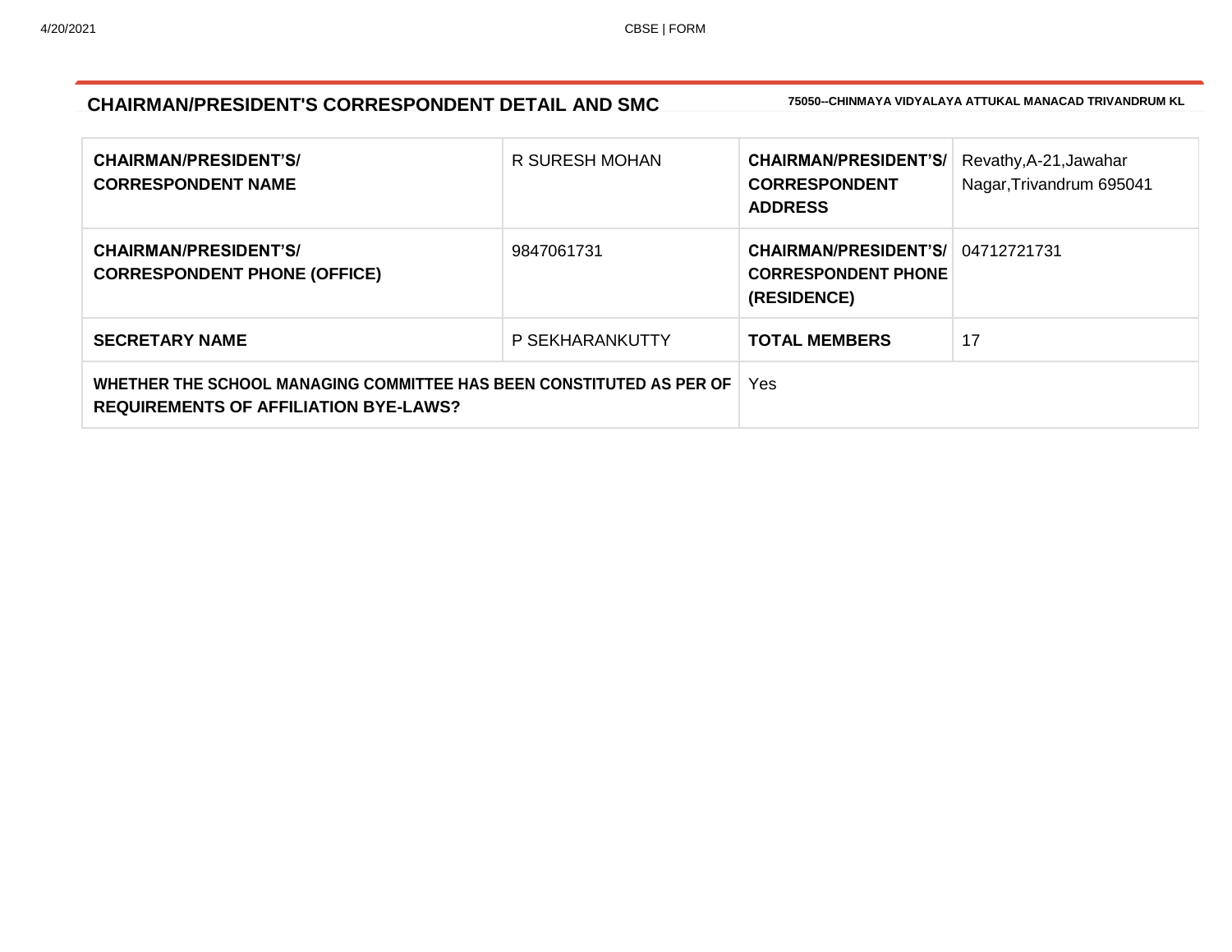## **CHAIRMAN/PRESIDENT'S CORRESPONDENT DETAIL AND SMC 75050--CHINMAYA VIDYALAYA ATTUKAL MANACAD TRIVANDRUM KL**

| <b>CHAIRMAN/PRESIDENT'S/</b><br><b>CORRESPONDENT NAME</b>                                                            | R SURESH MOHAN  | <b>CHAIRMAN/PRESIDENT'S/</b><br><b>CORRESPONDENT</b><br><b>ADDRESS</b>     | Revathy, A-21, Jawahar<br>Nagar, Trivandrum 695041 |
|----------------------------------------------------------------------------------------------------------------------|-----------------|----------------------------------------------------------------------------|----------------------------------------------------|
| <b>CHAIRMAN/PRESIDENT'S/</b><br><b>CORRESPONDENT PHONE (OFFICE)</b>                                                  | 9847061731      | <b>CHAIRMAN/PRESIDENT'S/I</b><br><b>CORRESPONDENT PHONE</b><br>(RESIDENCE) | 04712721731                                        |
| <b>SECRETARY NAME</b>                                                                                                | P SEKHARANKUTTY | <b>TOTAL MEMBERS</b>                                                       | 17                                                 |
| WHETHER THE SCHOOL MANAGING COMMITTEE HAS BEEN CONSTITUTED AS PER OF<br><b>REQUIREMENTS OF AFFILIATION BYE-LAWS?</b> |                 | Yes.                                                                       |                                                    |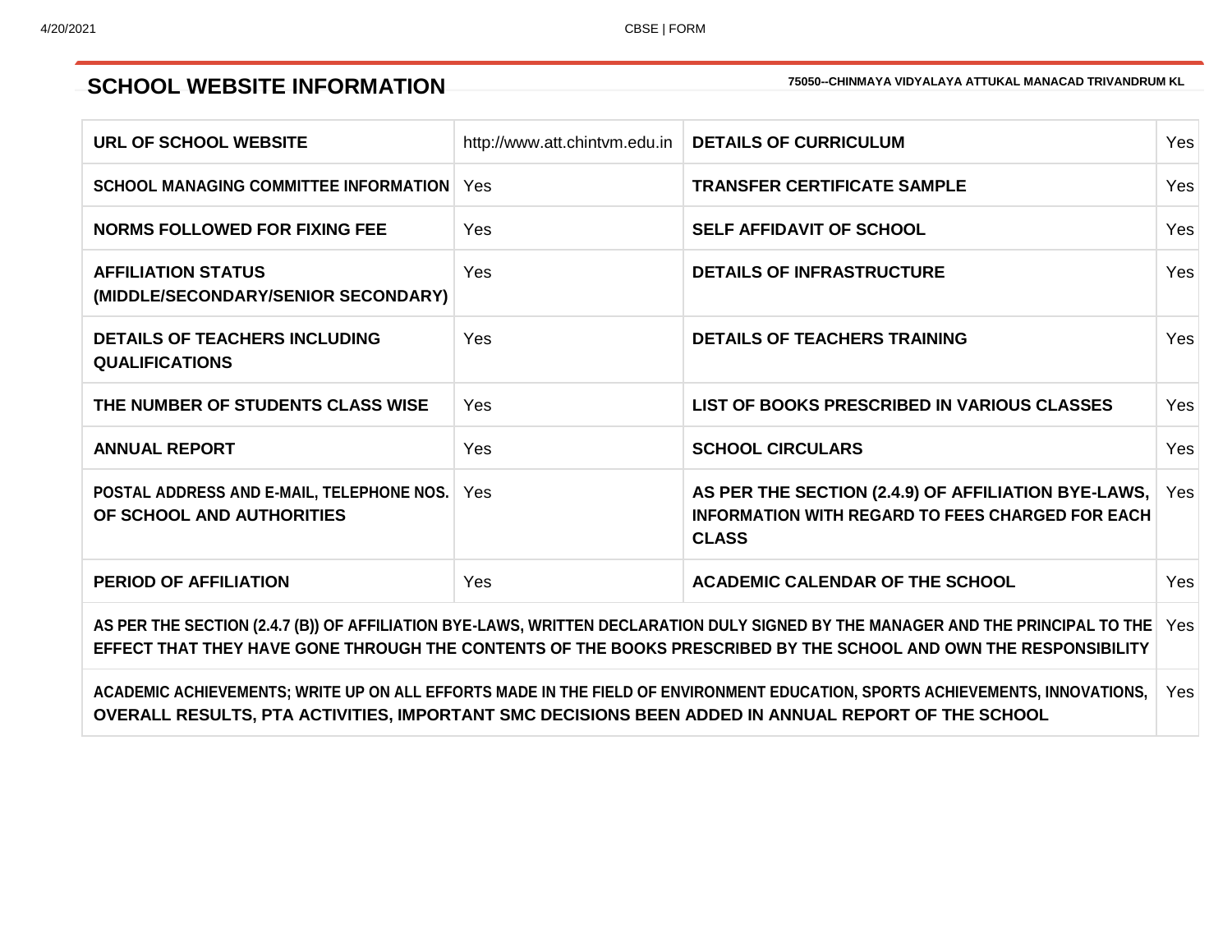## **SCHOOL WEBSITE INFORMATION** *TSOSO--CHINMAYA VIDYALAYA ATTUKAL MANACAD TRIVANDRUM KL*

| URL OF SCHOOL WEBSITE                                                                                                                                                                                                                                      |            | http://www.att.chintvm.edu.in   DETAILS OF CURRICULUM                                                                          | Yes |  |
|------------------------------------------------------------------------------------------------------------------------------------------------------------------------------------------------------------------------------------------------------------|------------|--------------------------------------------------------------------------------------------------------------------------------|-----|--|
| <b>SCHOOL MANAGING COMMITTEE INFORMATION</b>                                                                                                                                                                                                               | Yes        | <b>TRANSFER CERTIFICATE SAMPLE</b>                                                                                             | Yes |  |
| <b>NORMS FOLLOWED FOR FIXING FEE</b>                                                                                                                                                                                                                       | <b>Yes</b> | <b>SELF AFFIDAVIT OF SCHOOL</b>                                                                                                | Yes |  |
| <b>AFFILIATION STATUS</b><br>(MIDDLE/SECONDARY/SENIOR SECONDARY)                                                                                                                                                                                           | Yes        | <b>DETAILS OF INFRASTRUCTURE</b>                                                                                               | Yes |  |
| <b>DETAILS OF TEACHERS INCLUDING</b><br><b>QUALIFICATIONS</b>                                                                                                                                                                                              | Yes        | <b>DETAILS OF TEACHERS TRAINING</b>                                                                                            | Yes |  |
| THE NUMBER OF STUDENTS CLASS WISE                                                                                                                                                                                                                          | <b>Yes</b> | LIST OF BOOKS PRESCRIBED IN VARIOUS CLASSES                                                                                    | Yes |  |
| <b>ANNUAL REPORT</b>                                                                                                                                                                                                                                       | Yes        | <b>SCHOOL CIRCULARS</b>                                                                                                        | Yes |  |
| POSTAL ADDRESS AND E-MAIL, TELEPHONE NOS.<br>OF SCHOOL AND AUTHORITIES                                                                                                                                                                                     | <b>Yes</b> | AS PER THE SECTION (2.4.9) OF AFFILIATION BYE-LAWS,<br><b>INFORMATION WITH REGARD TO FEES CHARGED FOR EACH</b><br><b>CLASS</b> | Yes |  |
| <b>PERIOD OF AFFILIATION</b>                                                                                                                                                                                                                               | Yes        | <b>ACADEMIC CALENDAR OF THE SCHOOL</b>                                                                                         | Yes |  |
| AS PER THE SECTION (2.4.7 (B)) OF AFFILIATION BYE-LAWS, WRITTEN DECLARATION DULY SIGNED BY THE MANAGER AND THE PRINCIPAL TO THE<br>Yes<br>EFFECT THAT THEY HAVE GONE THROUGH THE CONTENTS OF THE BOOKS PRESCRIBED BY THE SCHOOL AND OWN THE RESPONSIBILITY |            |                                                                                                                                |     |  |
|                                                                                                                                                                                                                                                            |            | ALBEULA LAULEURUPA WINTE UR AU LUI EFFARTA ULBE IN TUE EIELB AF EUVIBAULEUT EBUALTIAU ABARTA LAULEUPUTUTA WUAULTIAUA           |     |  |

**ACADEMIC ACHIEVEMENTS; WRITE UP ON ALL EFFORTS MADE IN THE FIELD OF ENVIRONMENT EDUCATION, SPORTS ACHIEVEMENTS, INNOVATIONS,** Yes **OVERALL RESULTS, PTA ACTIVITIES, IMPORTANT SMC DECISIONS BEEN ADDED IN ANNUAL REPORT OF THE SCHOOL**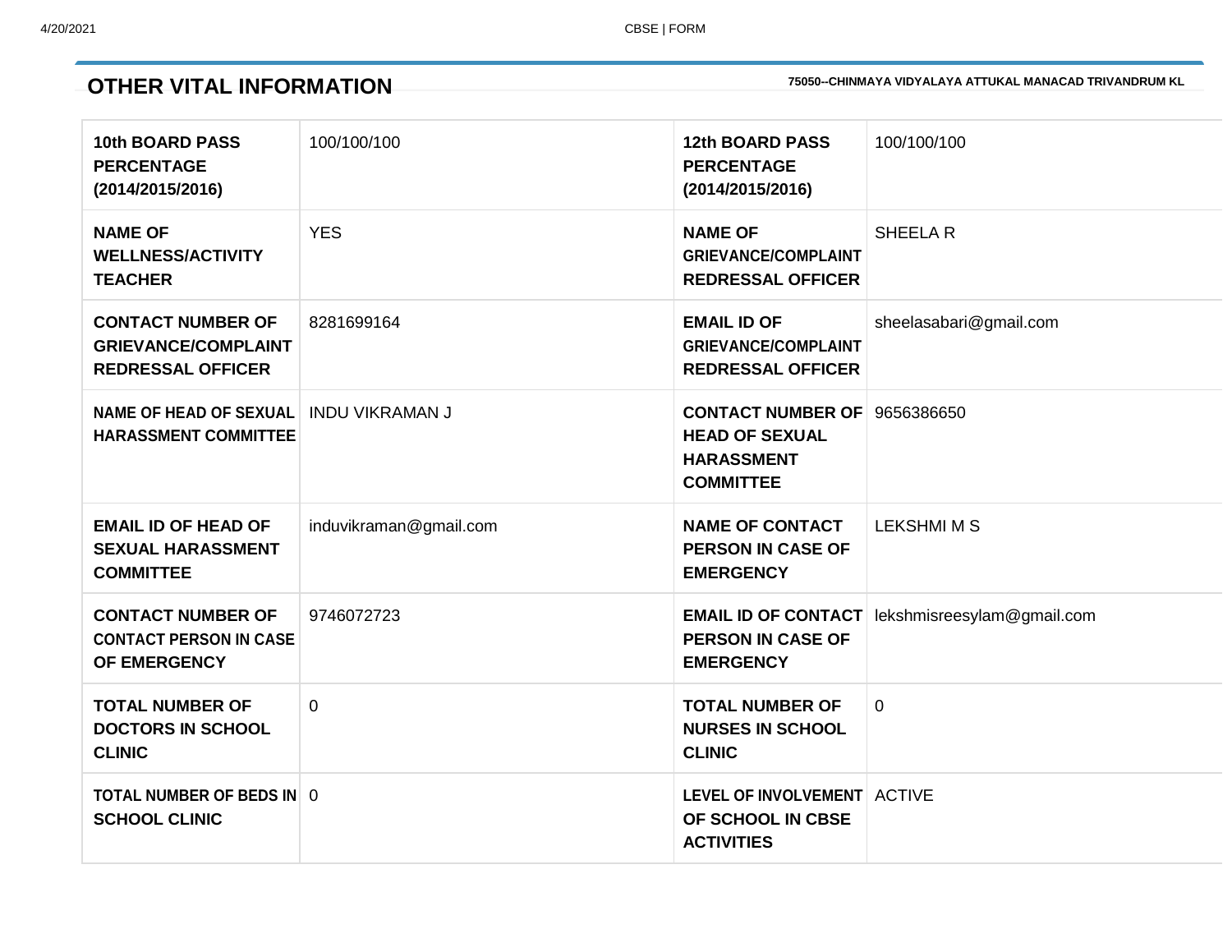## **OTHER VITAL INFORMATION 75050--CHINMAYA VIDYALAYA ATTUKAL MANACAD TRIVANDRUM KL**

| <b>10th BOARD PASS</b><br><b>PERCENTAGE</b><br>(2014/2015/2016)                    | 100/100/100            | <b>12th BOARD PASS</b><br><b>PERCENTAGE</b><br>(2014/2015/2016)                                       | 100/100/100                                           |
|------------------------------------------------------------------------------------|------------------------|-------------------------------------------------------------------------------------------------------|-------------------------------------------------------|
| <b>NAME OF</b><br><b>WELLNESS/ACTIVITY</b><br><b>TEACHER</b>                       | <b>YES</b>             | <b>NAME OF</b><br><b>GRIEVANCE/COMPLAINT</b><br><b>REDRESSAL OFFICER</b>                              | <b>SHEELAR</b>                                        |
| <b>CONTACT NUMBER OF</b><br><b>GRIEVANCE/COMPLAINT</b><br><b>REDRESSAL OFFICER</b> | 8281699164             | <b>EMAIL ID OF</b><br><b>GRIEVANCE/COMPLAINT</b><br><b>REDRESSAL OFFICER</b>                          | sheelasabari@gmail.com                                |
| <b>NAME OF HEAD OF SEXUAL</b><br><b>HARASSMENT COMMITTEE</b>                       | <b>INDU VIKRAMAN J</b> | <b>CONTACT NUMBER OF 9656386650</b><br><b>HEAD OF SEXUAL</b><br><b>HARASSMENT</b><br><b>COMMITTEE</b> |                                                       |
| <b>EMAIL ID OF HEAD OF</b><br><b>SEXUAL HARASSMENT</b><br><b>COMMITTEE</b>         | induvikraman@gmail.com | <b>NAME OF CONTACT</b><br><b>PERSON IN CASE OF</b><br><b>EMERGENCY</b>                                | <b>LEKSHMIMS</b>                                      |
| <b>CONTACT NUMBER OF</b><br><b>CONTACT PERSON IN CASE</b><br>OF EMERGENCY          | 9746072723             | <b>PERSON IN CASE OF</b><br><b>EMERGENCY</b>                                                          | <b>EMAIL ID OF CONTACT</b> lekshmisreesylam@gmail.com |
| <b>TOTAL NUMBER OF</b><br><b>DOCTORS IN SCHOOL</b><br><b>CLINIC</b>                | $\mathbf 0$            | <b>TOTAL NUMBER OF</b><br><b>NURSES IN SCHOOL</b><br><b>CLINIC</b>                                    | $\overline{0}$                                        |
| <b>TOTAL NUMBER OF BEDS IN 0</b><br><b>SCHOOL CLINIC</b>                           |                        | LEVEL OF INVOLVEMENT ACTIVE<br>OF SCHOOL IN CBSE<br><b>ACTIVITIES</b>                                 |                                                       |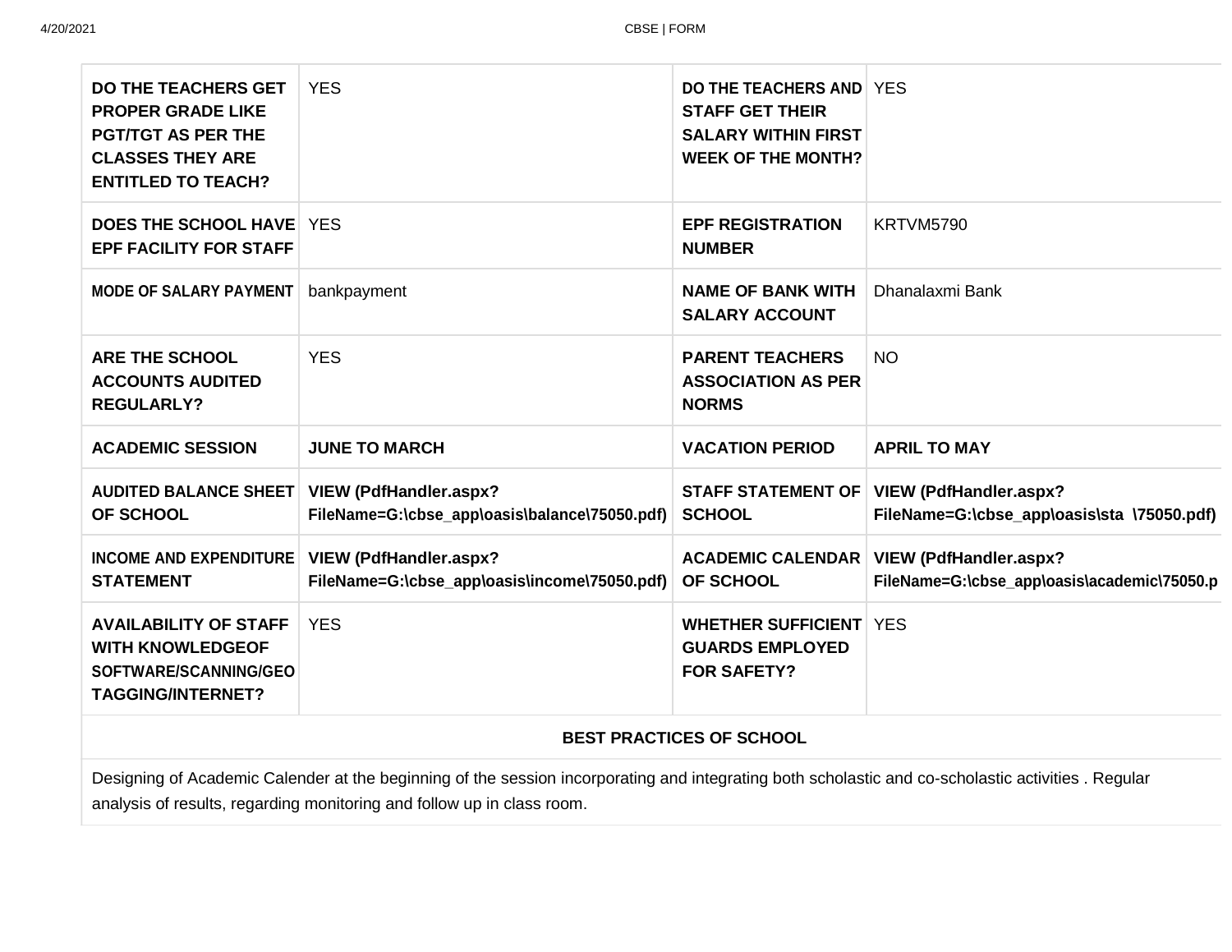| <b>DO THE TEACHERS GET</b><br><b>PROPER GRADE LIKE</b><br><b>PGT/TGT AS PER THE</b><br><b>CLASSES THEY ARE</b><br><b>ENTITLED TO TEACH?</b> | <b>YES</b>                                                                                                                                         | <b>DO THE TEACHERS AND YES</b><br><b>STAFF GET THEIR</b><br><b>SALARY WITHIN FIRST</b><br><b>WEEK OF THE MONTH?</b> |                                                                                                |
|---------------------------------------------------------------------------------------------------------------------------------------------|----------------------------------------------------------------------------------------------------------------------------------------------------|---------------------------------------------------------------------------------------------------------------------|------------------------------------------------------------------------------------------------|
| <b>DOES THE SCHOOL HAVE!</b><br><b>EPF FACILITY FOR STAFF</b>                                                                               | <b>YES</b>                                                                                                                                         | <b>EPF REGISTRATION</b><br><b>NUMBER</b>                                                                            | KRTVM5790                                                                                      |
| <b>MODE OF SALARY PAYMENT</b>                                                                                                               | bankpayment                                                                                                                                        | <b>NAME OF BANK WITH</b><br><b>SALARY ACCOUNT</b>                                                                   | Dhanalaxmi Bank                                                                                |
| <b>ARE THE SCHOOL</b><br><b>ACCOUNTS AUDITED</b><br><b>REGULARLY?</b>                                                                       | <b>YES</b>                                                                                                                                         | <b>PARENT TEACHERS</b><br><b>ASSOCIATION AS PER</b><br><b>NORMS</b>                                                 | <b>NO</b>                                                                                      |
| <b>ACADEMIC SESSION</b>                                                                                                                     | <b>JUNE TO MARCH</b>                                                                                                                               | <b>VACATION PERIOD</b>                                                                                              | <b>APRIL TO MAY</b>                                                                            |
| <b>AUDITED BALANCE SHEET</b><br><b>OF SCHOOL</b>                                                                                            | <b>VIEW (PdfHandler.aspx?</b><br>FileName=G:\cbse_app\oasis\balance\75050.pdf)                                                                     | <b>SCHOOL</b>                                                                                                       | STAFF STATEMENT OF   VIEW (PdfHandler.aspx?<br>FileName=G:\cbse_app\oasis\sta \75050.pdf)      |
| <b>INCOME AND EXPENDITURE</b><br><b>STATEMENT</b>                                                                                           | <b>VIEW (PdfHandler.aspx?</b><br>FileName=G:\cbse_app\oasis\income\75050.pdf)                                                                      | <b>OF SCHOOL</b>                                                                                                    | <b>ACADEMIC CALENDAR VIEW (PdfHandler.aspx?</b><br>FileName=G:\cbse_app\oasis\academic\75050.p |
| <b>AVAILABILITY OF STAFF</b><br><b>WITH KNOWLEDGEOF</b><br>SOFTWARE/SCANNING/GEO<br><b>TAGGING/INTERNET?</b>                                | <b>YES</b>                                                                                                                                         | <b>WHETHER SUFFICIENT   YES</b><br><b>GUARDS EMPLOYED</b><br><b>FOR SAFETY?</b>                                     |                                                                                                |
|                                                                                                                                             |                                                                                                                                                    | <b>BEST PRACTICES OF SCHOOL</b>                                                                                     |                                                                                                |
|                                                                                                                                             | Designing of Academic Calender at the beginning of the session incorporating and integrating both scholastic and co-scholastic activities. Regular |                                                                                                                     |                                                                                                |

analysis of results, regarding monitoring and follow up in class room.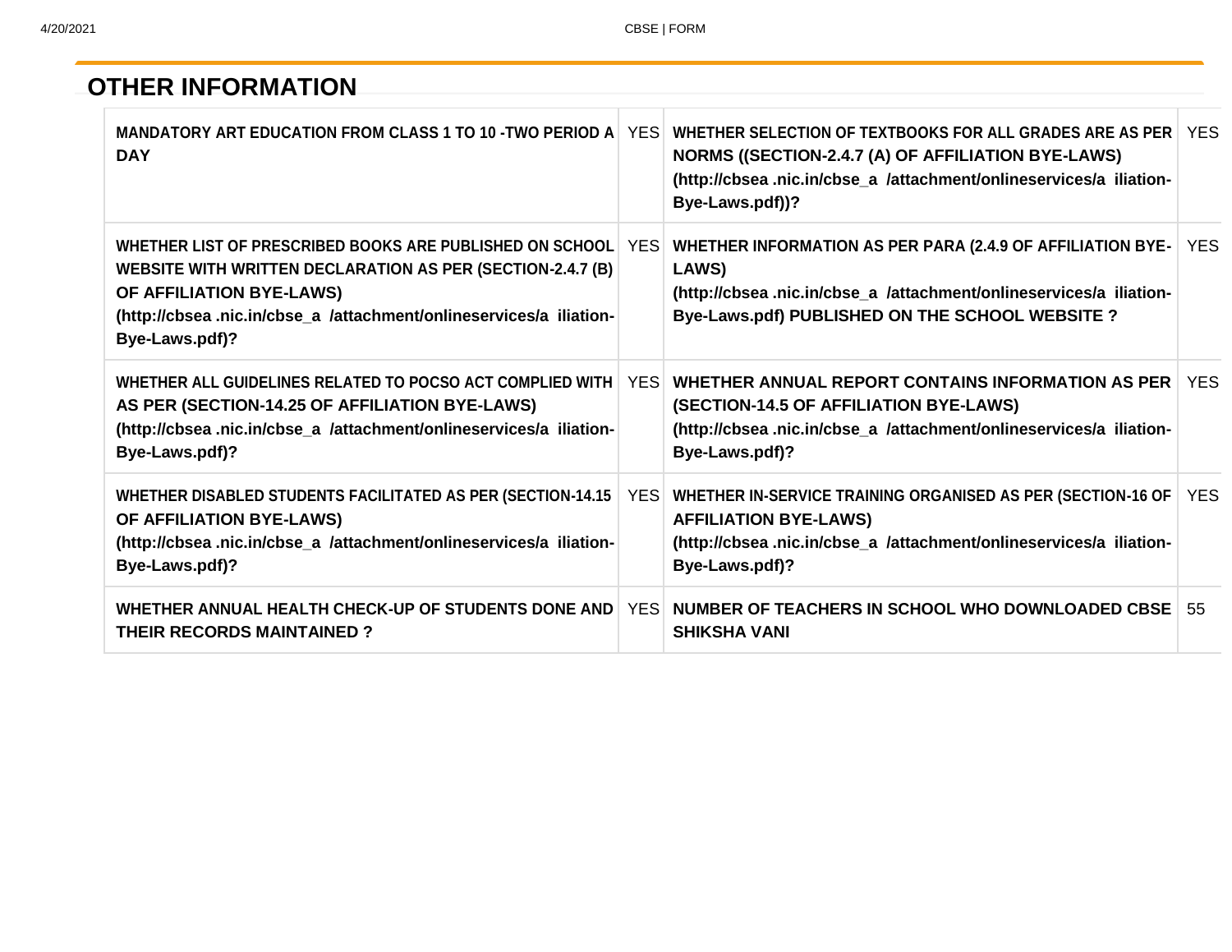# **OTHER INFORMATION**

| <b>MANDATORY ART EDUCATION FROM CLASS 1 TO 10 -TWO PERIOD A YES</b><br><b>DAY</b>                                                                                                                                                                     |            | WHETHER SELECTION OF TEXTBOOKS FOR ALL GRADES ARE AS PER YES<br>NORMS ((SECTION-2.4.7 (A) OF AFFILIATION BYE-LAWS)<br>(http://cbsea.nic.in/cbse_a /attachment/onlineservices/a iliation-<br>Bye-Laws.pdf))? |            |
|-------------------------------------------------------------------------------------------------------------------------------------------------------------------------------------------------------------------------------------------------------|------------|-------------------------------------------------------------------------------------------------------------------------------------------------------------------------------------------------------------|------------|
| WHETHER LIST OF PRESCRIBED BOOKS ARE PUBLISHED ON SCHOOL YES<br><b>WEBSITE WITH WRITTEN DECLARATION AS PER (SECTION-2.4.7 (B)</b><br>OF AFFILIATION BYE-LAWS)<br>(http://cbsea.nic.in/cbse_a /attachment/onlineservices/a iliation-<br>Bye-Laws.pdf)? |            | <b>WHETHER INFORMATION AS PER PARA (2.4.9 OF AFFILIATION BYE-</b><br>LAWS)<br>(http://cbsea.nic.in/cbse_a /attachment/onlineservices/a iliation-<br>Bye-Laws.pdf) PUBLISHED ON THE SCHOOL WEBSITE?          | <b>YES</b> |
| WHETHER ALL GUIDELINES RELATED TO POCSO ACT COMPLIED WITH<br>AS PER (SECTION-14.25 OF AFFILIATION BYE-LAWS)<br>(http://cbsea.nic.in/cbse_a /attachment/onlineservices/a iliation-<br>Bye-Laws.pdf)?                                                   | YFS.       | WHETHER ANNUAL REPORT CONTAINS INFORMATION AS PER<br>(SECTION-14.5 OF AFFILIATION BYE-LAWS)<br>(http://cbsea.nic.in/cbse_a /attachment/onlineservices/a iliation-<br>Bye-Laws.pdf)?                         | YES.       |
| WHETHER DISABLED STUDENTS FACILITATED AS PER (SECTION-14.15<br>OF AFFILIATION BYE-LAWS)<br>(http://cbsea.nic.in/cbse_a /attachment/onlineservices/a iliation-<br>Bye-Laws.pdf)?                                                                       | <b>YES</b> | WHETHER IN-SERVICE TRAINING ORGANISED AS PER (SECTION-16 OF<br><b>AFFILIATION BYE-LAWS)</b><br>(http://cbsea.nic.in/cbse_a /attachment/onlineservices/a iliation-<br>Bye-Laws.pdf)?                         | YES.       |
| WHETHER ANNUAL HEALTH CHECK-UP OF STUDENTS DONE AND<br><b>THEIR RECORDS MAINTAINED?</b>                                                                                                                                                               | <b>YES</b> | <b>NUMBER OF TEACHERS IN SCHOOL WHO DOWNLOADED CBSE</b><br><b>SHIKSHA VANI</b>                                                                                                                              | .55        |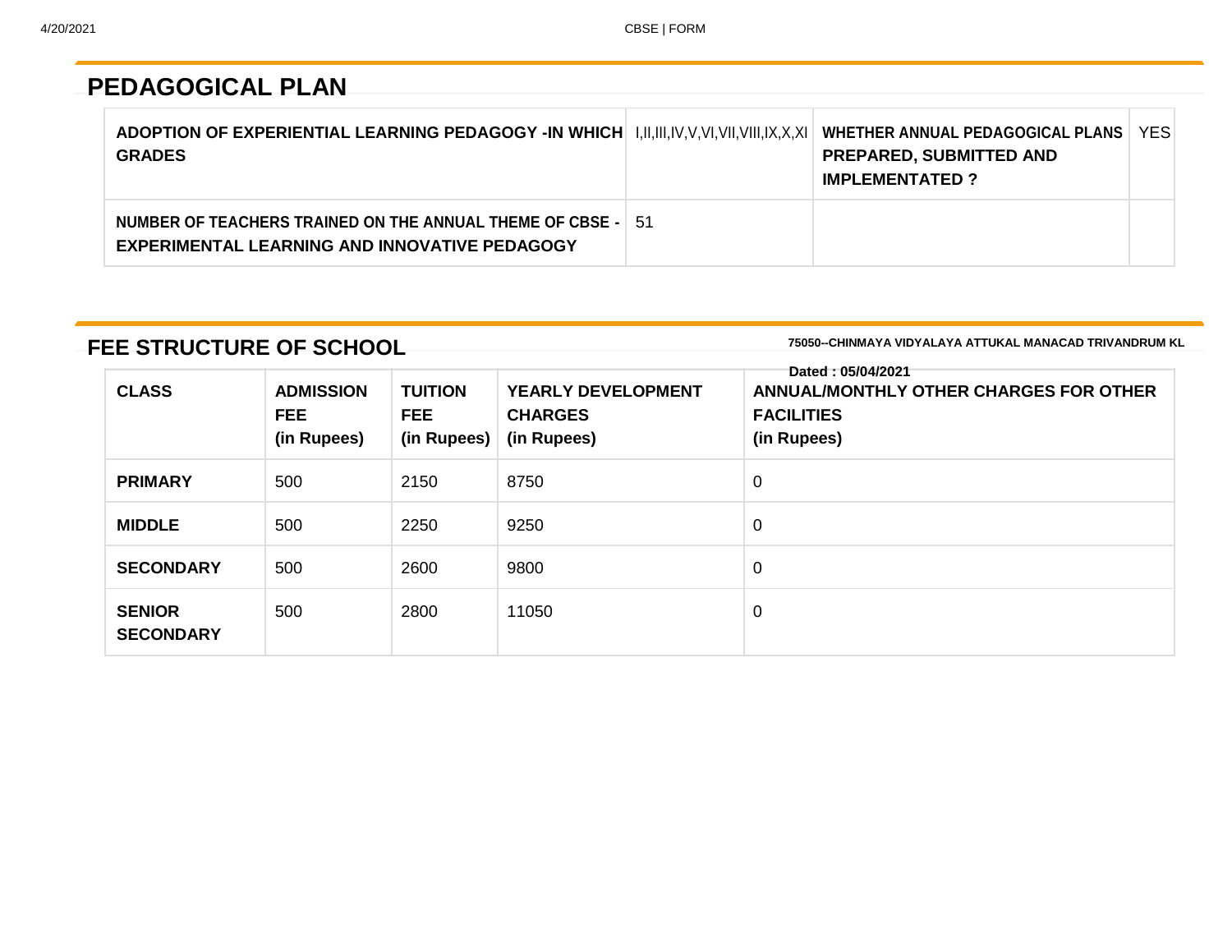# **PEDAGOGICAL PLAN**

| ADOPTION OF EXPERIENTIAL LEARNING PEDAGOGY -IN WHICH H.II, III, IV, V, VI, VII, VIII, IX, X, XI<br><b>GRADES</b>    | WHETHER ANNUAL PEDAGOGICAL PLANS  <br><b>PREPARED, SUBMITTED AND</b><br><b>IMPLEMENTATED?</b> | YES. |  |
|---------------------------------------------------------------------------------------------------------------------|-----------------------------------------------------------------------------------------------|------|--|
| NUMBER OF TEACHERS TRAINED ON THE ANNUAL THEME OF CBSE - 51<br><b>EXPERIMENTAL LEARNING AND INNOVATIVE PEDAGOGY</b> |                                                                                               |      |  |

## **FEE STRUCTURE OF SCHOOL 75050--CHINMAYA VIDYALAYA ATTUKAL MANACAD TRIVANDRUM KL**

| <b>CLASS</b>                      | <b>ADMISSION</b><br><b>FEE</b><br>(in Rupees) | <b>TUITION</b><br>FEE.<br>(in Rupees) $ $ | <b>YEARLY DEVELOPMENT</b><br><b>CHARGES</b><br>(in Rupees) | Dated: 05/04/2021<br>ANNUAL/MONTHLY OTHER CHARGES FOR OTHER<br><b>FACILITIES</b><br>(in Rupees) |
|-----------------------------------|-----------------------------------------------|-------------------------------------------|------------------------------------------------------------|-------------------------------------------------------------------------------------------------|
| <b>PRIMARY</b>                    | 500                                           | 2150                                      | 8750                                                       | 0                                                                                               |
| <b>MIDDLE</b>                     | 500                                           | 2250                                      | 9250                                                       | 0                                                                                               |
| <b>SECONDARY</b>                  | 500                                           | 2600                                      | 9800                                                       | 0                                                                                               |
| <b>SENIOR</b><br><b>SECONDARY</b> | 500                                           | 2800                                      | 11050                                                      | 0                                                                                               |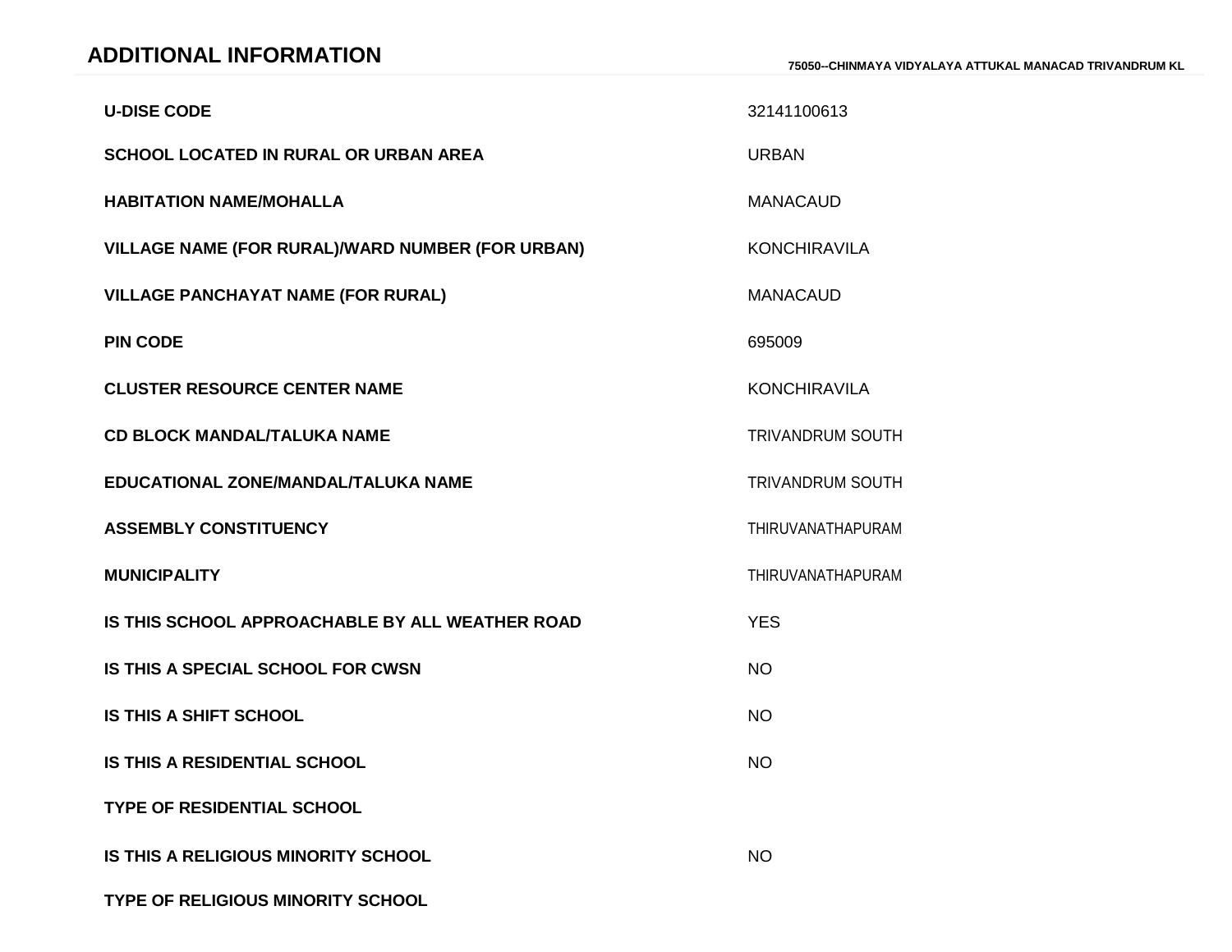# **ADDITIONAL INFORMATION 75050--CHINMAYA VIDYALAYA ATTUKAL MANACAD TRIVANDRUM KL**

| <b>U-DISE CODE</b>                               | 32141100613              |
|--------------------------------------------------|--------------------------|
| <b>SCHOOL LOCATED IN RURAL OR URBAN AREA</b>     | <b>URBAN</b>             |
| <b>HABITATION NAME/MOHALLA</b>                   | <b>MANACAUD</b>          |
| VILLAGE NAME (FOR RURAL)/WARD NUMBER (FOR URBAN) | <b>KONCHIRAVILA</b>      |
| <b>VILLAGE PANCHAYAT NAME (FOR RURAL)</b>        | <b>MANACAUD</b>          |
| <b>PIN CODE</b>                                  | 695009                   |
| <b>CLUSTER RESOURCE CENTER NAME</b>              | <b>KONCHIRAVILA</b>      |
| <b>CD BLOCK MANDAL/TALUKA NAME</b>               | <b>TRIVANDRUM SOUTH</b>  |
| EDUCATIONAL ZONE/MANDAL/TALUKA NAME              | <b>TRIVANDRUM SOUTH</b>  |
| <b>ASSEMBLY CONSTITUENCY</b>                     | THIRUVANATHAPURAM        |
| <b>MUNICIPALITY</b>                              | <b>THIRUVANATHAPURAM</b> |
| IS THIS SCHOOL APPROACHABLE BY ALL WEATHER ROAD  | <b>YES</b>               |
| IS THIS A SPECIAL SCHOOL FOR CWSN                | <b>NO</b>                |
| <b>IS THIS A SHIFT SCHOOL</b>                    | <b>NO</b>                |
| <b>IS THIS A RESIDENTIAL SCHOOL</b>              | <b>NO</b>                |
| <b>TYPE OF RESIDENTIAL SCHOOL</b>                |                          |
| <b>IS THIS A RELIGIOUS MINORITY SCHOOL</b>       | <b>NO</b>                |
| <b>TYPE OF RELIGIOUS MINORITY SCHOOL</b>         |                          |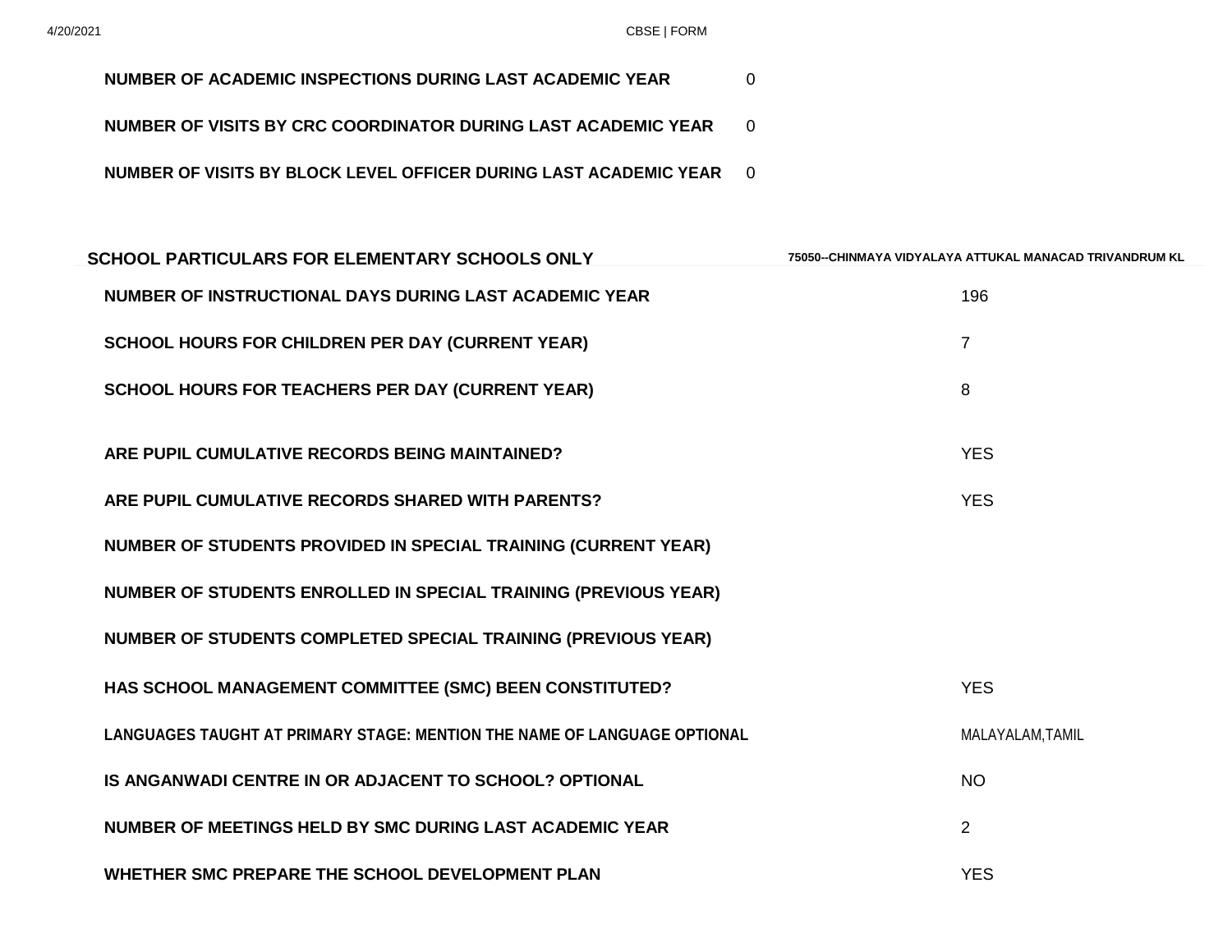| NUMBER OF ACADEMIC INSPECTIONS DURING LAST ACADEMIC YEAR      |  |
|---------------------------------------------------------------|--|
| NUMBER OF VISITS BY CRC COORDINATOR DURING LAST ACADEMIC YEAR |  |

**NUMBER OF VISITS BY BLOCK LEVEL OFFICER DURING LAST ACADEMIC YEAR 0** 

| <b>SCHOOL PARTICULARS FOR ELEMENTARY SCHOOLS ONLY</b>                           | 75050--CHINMAYA VIDYALAYA ATTUKAL MANACAD TRIVANDRUM KL |
|---------------------------------------------------------------------------------|---------------------------------------------------------|
| NUMBER OF INSTRUCTIONAL DAYS DURING LAST ACADEMIC YEAR                          | 196                                                     |
| <b>SCHOOL HOURS FOR CHILDREN PER DAY (CURRENT YEAR)</b>                         | $\overline{7}$                                          |
| <b>SCHOOL HOURS FOR TEACHERS PER DAY (CURRENT YEAR)</b>                         | 8                                                       |
| ARE PUPIL CUMULATIVE RECORDS BEING MAINTAINED?                                  | <b>YES</b>                                              |
|                                                                                 |                                                         |
| ARE PUPIL CUMULATIVE RECORDS SHARED WITH PARENTS?                               | <b>YES</b>                                              |
| NUMBER OF STUDENTS PROVIDED IN SPECIAL TRAINING (CURRENT YEAR)                  |                                                         |
| NUMBER OF STUDENTS ENROLLED IN SPECIAL TRAINING (PREVIOUS YEAR)                 |                                                         |
| NUMBER OF STUDENTS COMPLETED SPECIAL TRAINING (PREVIOUS YEAR)                   |                                                         |
| HAS SCHOOL MANAGEMENT COMMITTEE (SMC) BEEN CONSTITUTED?                         | <b>YES</b>                                              |
| <b>LANGUAGES TAUGHT AT PRIMARY STAGE: MENTION THE NAME OF LANGUAGE OPTIONAL</b> | MALAYALAM, TAMIL                                        |
| IS ANGANWADI CENTRE IN OR ADJACENT TO SCHOOL? OPTIONAL                          | <b>NO</b>                                               |
| NUMBER OF MEETINGS HELD BY SMC DURING LAST ACADEMIC YEAR                        | $\overline{2}$                                          |
| WHETHER SMC PREPARE THE SCHOOL DEVELOPMENT PLAN                                 | <b>YES</b>                                              |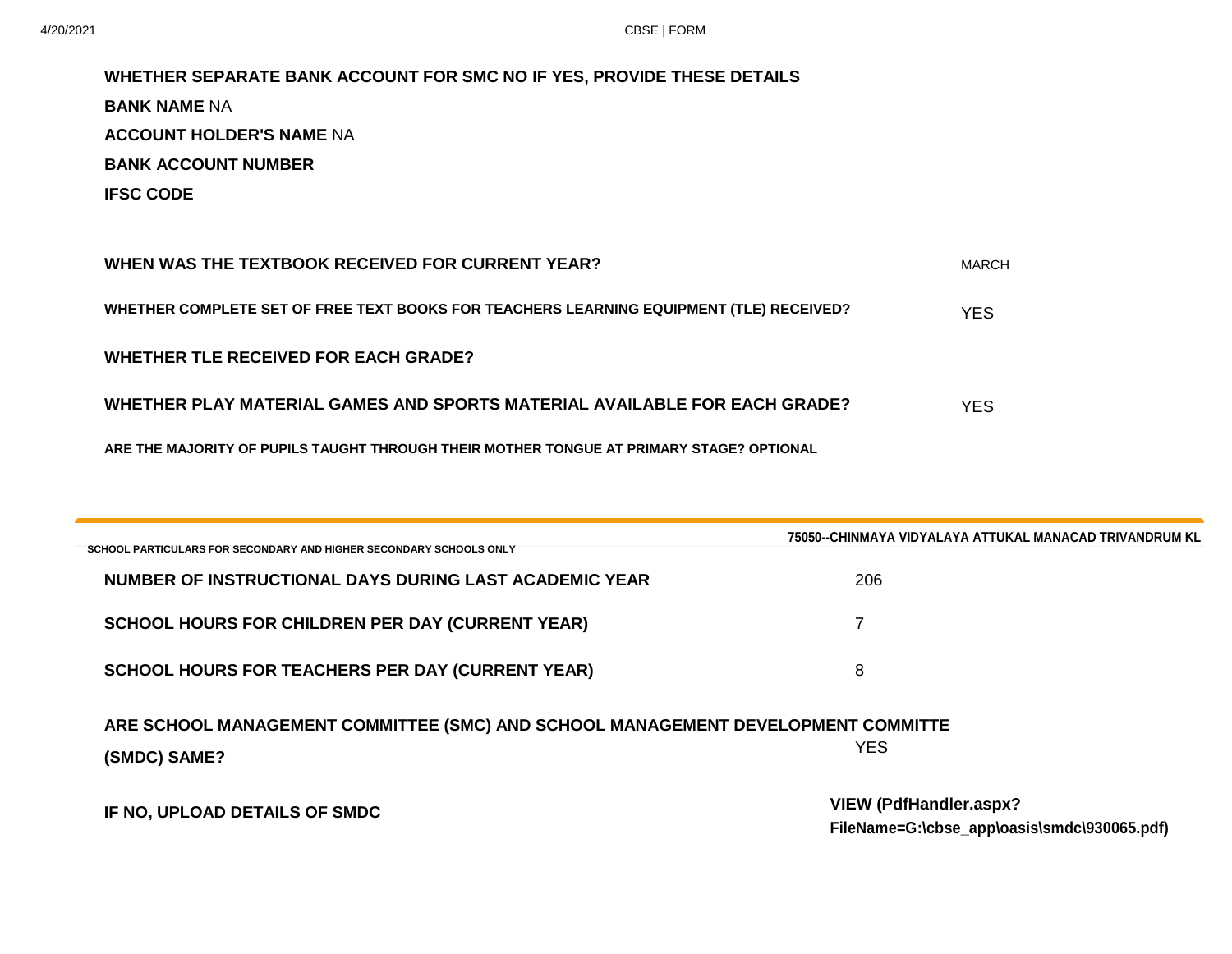# **WHETHER SEPARATE BANK ACCOUNT FOR SMC NO IF YES, PROVIDE THESE DETAILS BANK NAME** NA **ACCOUNT HOLDER'S NAME** NA **BANK ACCOUNT NUMBER IFSC CODE**

| WHEN WAS THE TEXTBOOK RECEIVED FOR CURRENT YEAR?                                        | <b>MARCH</b> |
|-----------------------------------------------------------------------------------------|--------------|
| WHETHER COMPLETE SET OF FREE TEXT BOOKS FOR TEACHERS LEARNING EQUIPMENT (TLE) RECEIVED? | <b>YES</b>   |
| WHETHER TLE RECEIVED FOR EACH GRADE?                                                    |              |
| WHETHER PLAY MATERIAL GAMES AND SPORTS MATERIAL AVAILABLE FOR EACH GRADE?               | <b>YFS</b>   |
|                                                                                         |              |

**ARE THE MAJORITY OF PUPILS TAUGHT THROUGH THEIR MOTHER TONGUE AT PRIMARY STAGE? OPTIONAL**

| SCHOOL PARTICULARS FOR SECONDARY AND HIGHER SECONDARY SCHOOLS ONLY                               | 75050--CHINMAYA VIDYALAYA ATTUKAL MANACAD TRIVANDRUM KL                      |
|--------------------------------------------------------------------------------------------------|------------------------------------------------------------------------------|
| NUMBER OF INSTRUCTIONAL DAYS DURING LAST ACADEMIC YEAR                                           | 206                                                                          |
| <b>SCHOOL HOURS FOR CHILDREN PER DAY (CURRENT YEAR)</b>                                          |                                                                              |
| <b>SCHOOL HOURS FOR TEACHERS PER DAY (CURRENT YEAR)</b>                                          | 8                                                                            |
| ARE SCHOOL MANAGEMENT COMMITTEE (SMC) AND SCHOOL MANAGEMENT DEVELOPMENT COMMITTE<br>(SMDC) SAME? | <b>YES</b>                                                                   |
|                                                                                                  |                                                                              |
| IF NO, UPLOAD DETAILS OF SMDC                                                                    | <b>VIEW (PdfHandler.aspx?</b><br>FileName=G:\cbse_app\oasis\smdc\930065.pdf) |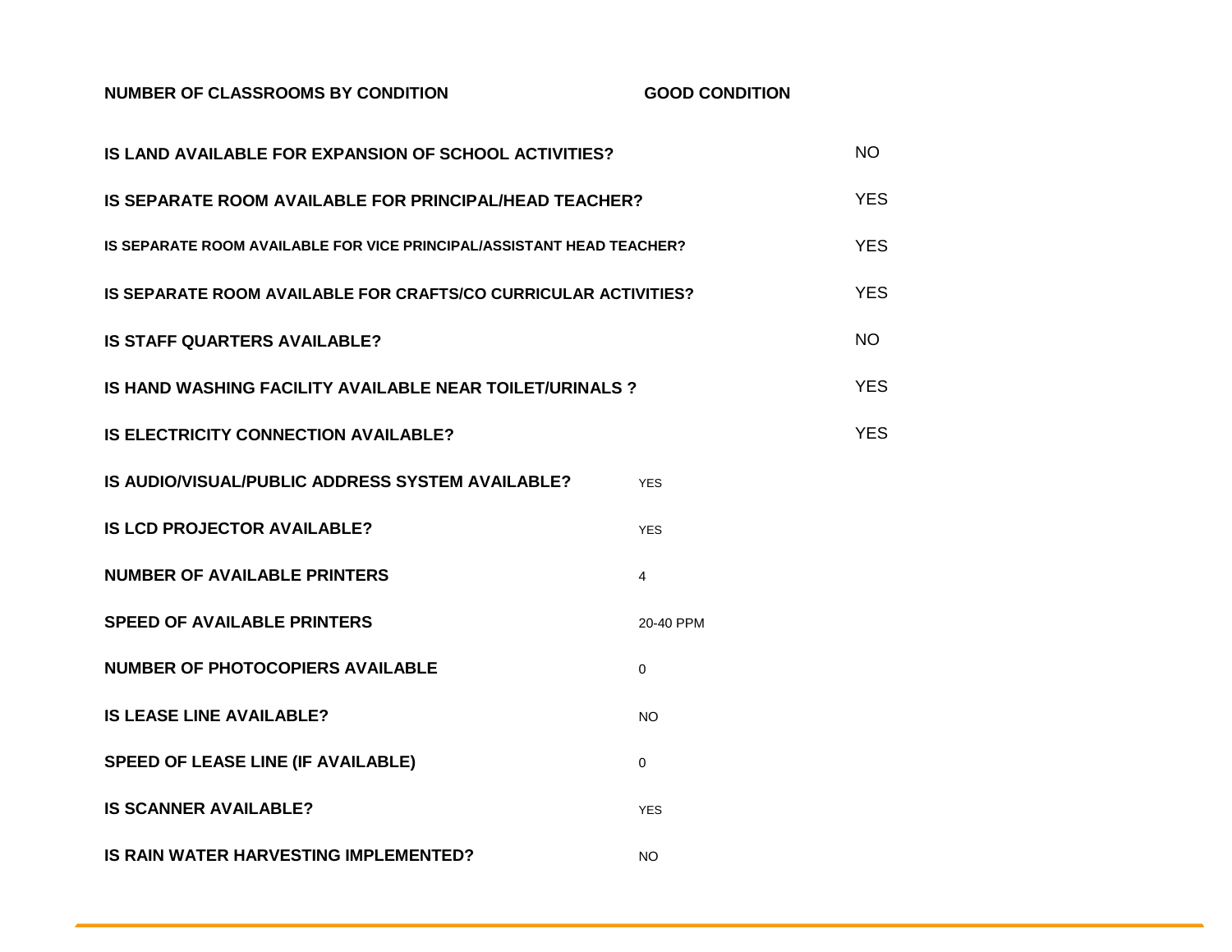### **NUMBER OF CLASSROOMS BY CONDITION GOOD CONDITION**

| IS LAND AVAILABLE FOR EXPANSION OF SCHOOL ACTIVITIES?                        |            |           |  |  |  |  |
|------------------------------------------------------------------------------|------------|-----------|--|--|--|--|
| <b>IS SEPARATE ROOM AVAILABLE FOR PRINCIPAL/HEAD TEACHER?</b>                |            |           |  |  |  |  |
| <b>IS SEPARATE ROOM AVAILABLE FOR VICE PRINCIPAL/ASSISTANT HEAD TEACHER?</b> |            |           |  |  |  |  |
| <b>IS SEPARATE ROOM AVAILABLE FOR CRAFTS/CO CURRICULAR ACTIVITIES?</b>       |            |           |  |  |  |  |
| <b>IS STAFF QUARTERS AVAILABLE?</b>                                          |            | <b>NO</b> |  |  |  |  |
| <b>IS HAND WASHING FACILITY AVAILABLE NEAR TOILET/URINALS?</b>               |            |           |  |  |  |  |
| <b>IS ELECTRICITY CONNECTION AVAILABLE?</b>                                  |            |           |  |  |  |  |
| IS AUDIO/VISUAL/PUBLIC ADDRESS SYSTEM AVAILABLE?<br><b>YES</b>               |            |           |  |  |  |  |
| <b>IS LCD PROJECTOR AVAILABLE?</b><br><b>YES</b>                             |            |           |  |  |  |  |
| <b>NUMBER OF AVAILABLE PRINTERS</b>                                          | 4          |           |  |  |  |  |
| <b>SPEED OF AVAILABLE PRINTERS</b>                                           | 20-40 PPM  |           |  |  |  |  |
| <b>NUMBER OF PHOTOCOPIERS AVAILABLE</b>                                      | $\Omega$   |           |  |  |  |  |
| <b>IS LEASE LINE AVAILABLE?</b><br><b>NO</b>                                 |            |           |  |  |  |  |
| <b>SPEED OF LEASE LINE (IF AVAILABLE)</b><br>$\Omega$                        |            |           |  |  |  |  |
| <b>IS SCANNER AVAILABLE?</b>                                                 | <b>YES</b> |           |  |  |  |  |
| <b>IS RAIN WATER HARVESTING IMPLEMENTED?</b>                                 | NO.        |           |  |  |  |  |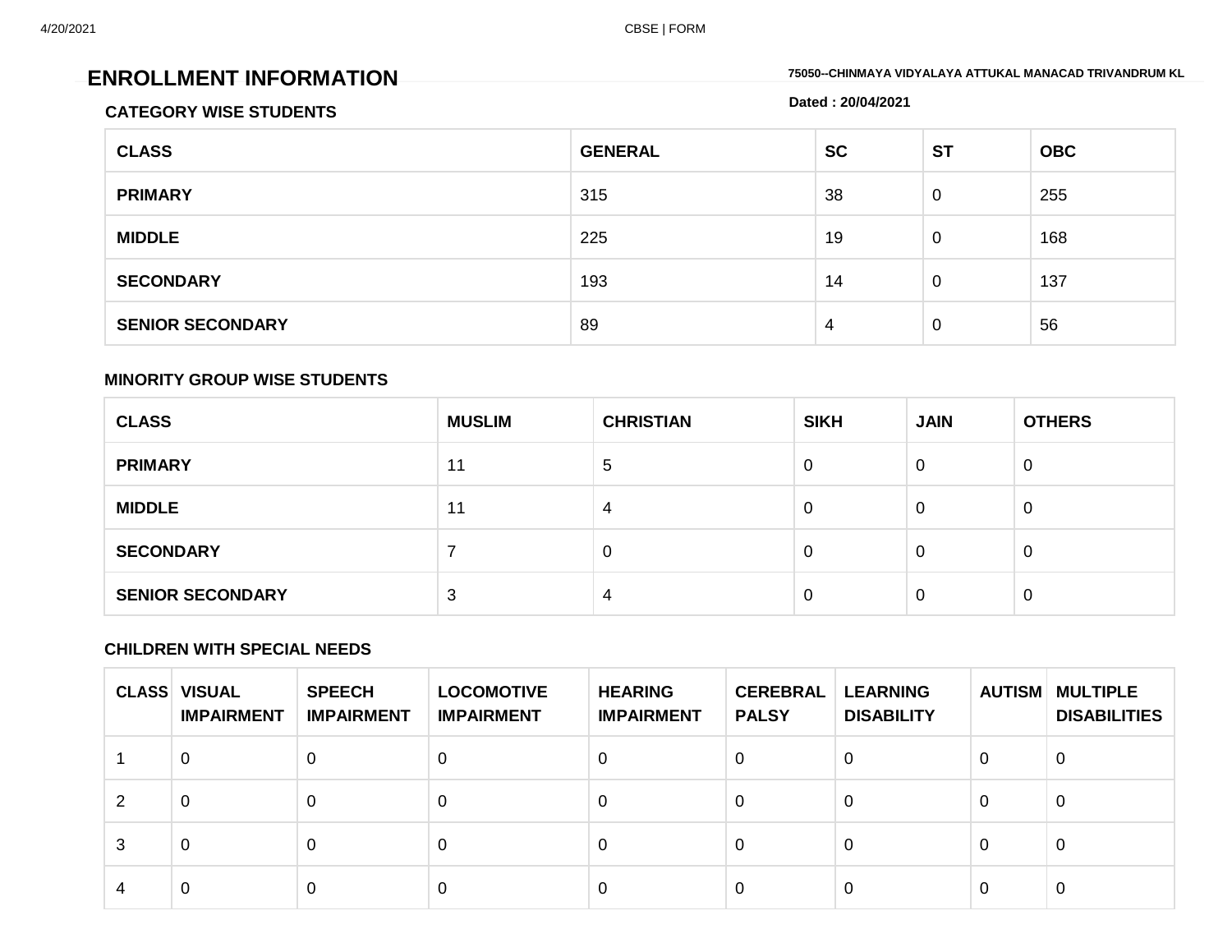## **ENROLLMENT INFORMATION 75050--CHINMAYA VIDYALAYA ATTUKAL MANACAD TRIVANDRUM KL**

## **CATEGORY WISE STUDENTS Dated : 20/04/2021**

| <b>CLASS</b>            | <b>GENERAL</b> | <b>SC</b> | <b>ST</b> | <b>OBC</b> |
|-------------------------|----------------|-----------|-----------|------------|
| <b>PRIMARY</b>          | 315            | 38        | 0         | 255        |
| <b>MIDDLE</b>           | 225            | 19        | 0         | 168        |
| <b>SECONDARY</b>        | 193            | 14        | 0         | 137        |
| <b>SENIOR SECONDARY</b> | 89             | 4         | 0         | 56         |

#### **MINORITY GROUP WISE STUDENTS**

| <b>CLASS</b>            | <b>MUSLIM</b> | <b>CHRISTIAN</b> | <b>SIKH</b> | <b>JAIN</b> | <b>OTHERS</b>    |
|-------------------------|---------------|------------------|-------------|-------------|------------------|
| <b>PRIMARY</b>          | 11            | 5                | 0           | U           | $\boldsymbol{0}$ |
| <b>MIDDLE</b>           | 11            | 4                | 0           |             | $\boldsymbol{0}$ |
| <b>SECONDARY</b>        |               | 0                | 0           | U           | 0                |
| <b>SENIOR SECONDARY</b> | 3             | 4                | 0           | U           | $\boldsymbol{0}$ |

#### **CHILDREN WITH SPECIAL NEEDS**

|   | <b>CLASS VISUAL</b><br><b>IMPAIRMENT</b> | <b>SPEECH</b><br><b>IMPAIRMENT</b> | <b>LOCOMOTIVE</b><br><b>IMPAIRMENT</b> | <b>HEARING</b><br><b>IMPAIRMENT</b> | <b>CEREBRAL</b><br><b>PALSY</b> | <b>LEARNING</b><br><b>DISABILITY</b> | <b>AUTISM</b> | <b>MULTIPLE</b><br><b>DISABILITIES</b> |
|---|------------------------------------------|------------------------------------|----------------------------------------|-------------------------------------|---------------------------------|--------------------------------------|---------------|----------------------------------------|
|   | 0                                        | 0                                  | 0                                      | 0                                   | 0                               | 0                                    | 0             | 0                                      |
|   | 0                                        | 0                                  | 0                                      | 0                                   | 0                               | 0                                    | 0             | 0                                      |
| 3 | 0                                        | 0                                  | 0                                      |                                     | 0                               | 0                                    | 0             | 0                                      |
| 4 | $\Omega$                                 | 0                                  | $\Omega$                               |                                     | 0                               | 0                                    |               | 0                                      |